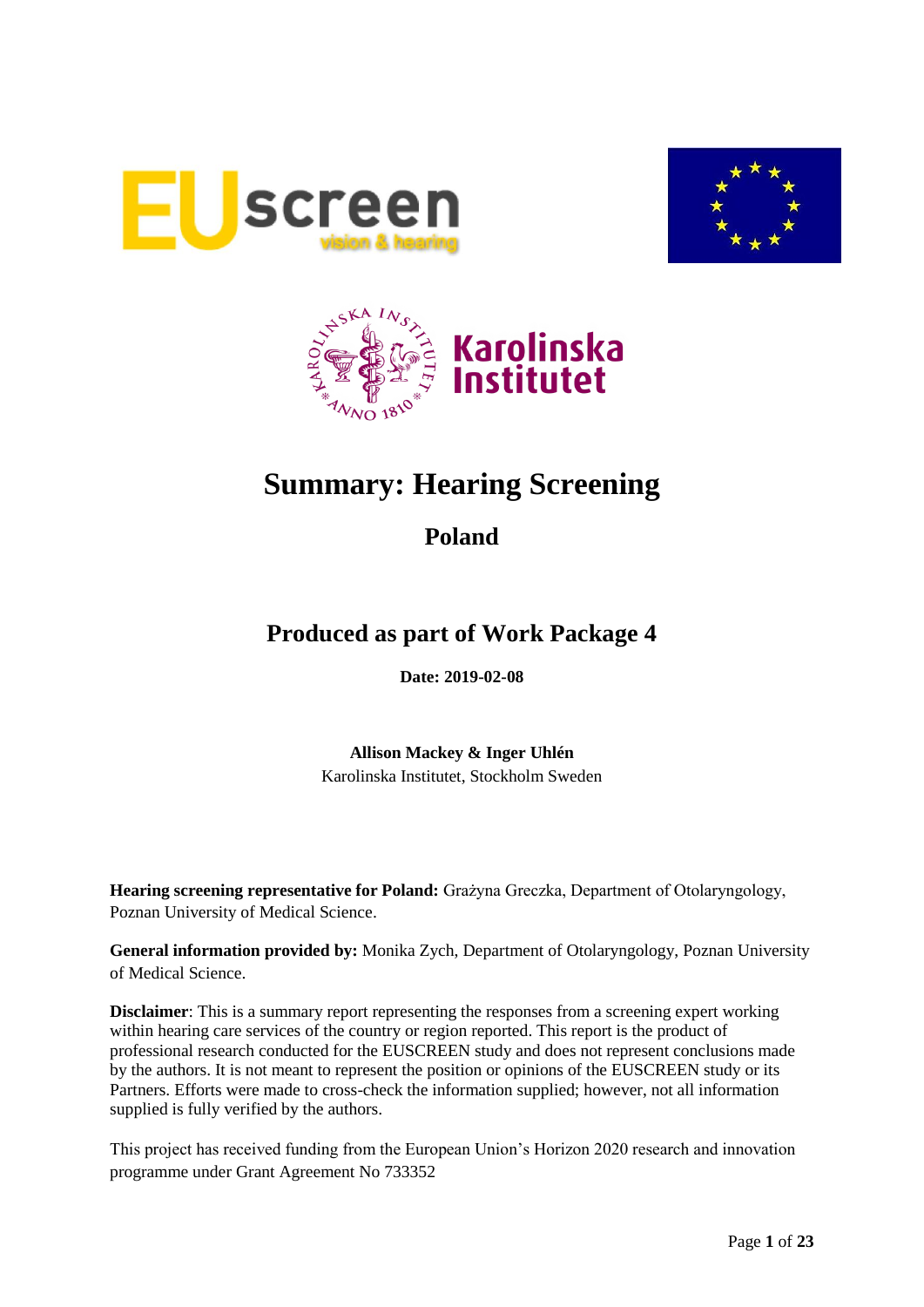





# **Summary: Hearing Screening**

## **Poland**

## **Produced as part of Work Package 4**

**Date: 2019-02-08**

**Allison Mackey & Inger Uhlén** Karolinska Institutet, Stockholm Sweden

**Hearing screening representative for Poland:** Grażyna Greczka, Department of Otolaryngology, Poznan University of Medical Science.

**General information provided by:** Monika Zych, Department of Otolaryngology, Poznan University of Medical Science.

**Disclaimer**: This is a summary report representing the responses from a screening expert working within hearing care services of the country or region reported. This report is the product of professional research conducted for the EUSCREEN study and does not represent conclusions made by the authors. It is not meant to represent the position or opinions of the EUSCREEN study or its Partners. Efforts were made to cross-check the information supplied; however, not all information supplied is fully verified by the authors.

This project has received funding from the European Union's Horizon 2020 research and innovation programme under Grant Agreement No 733352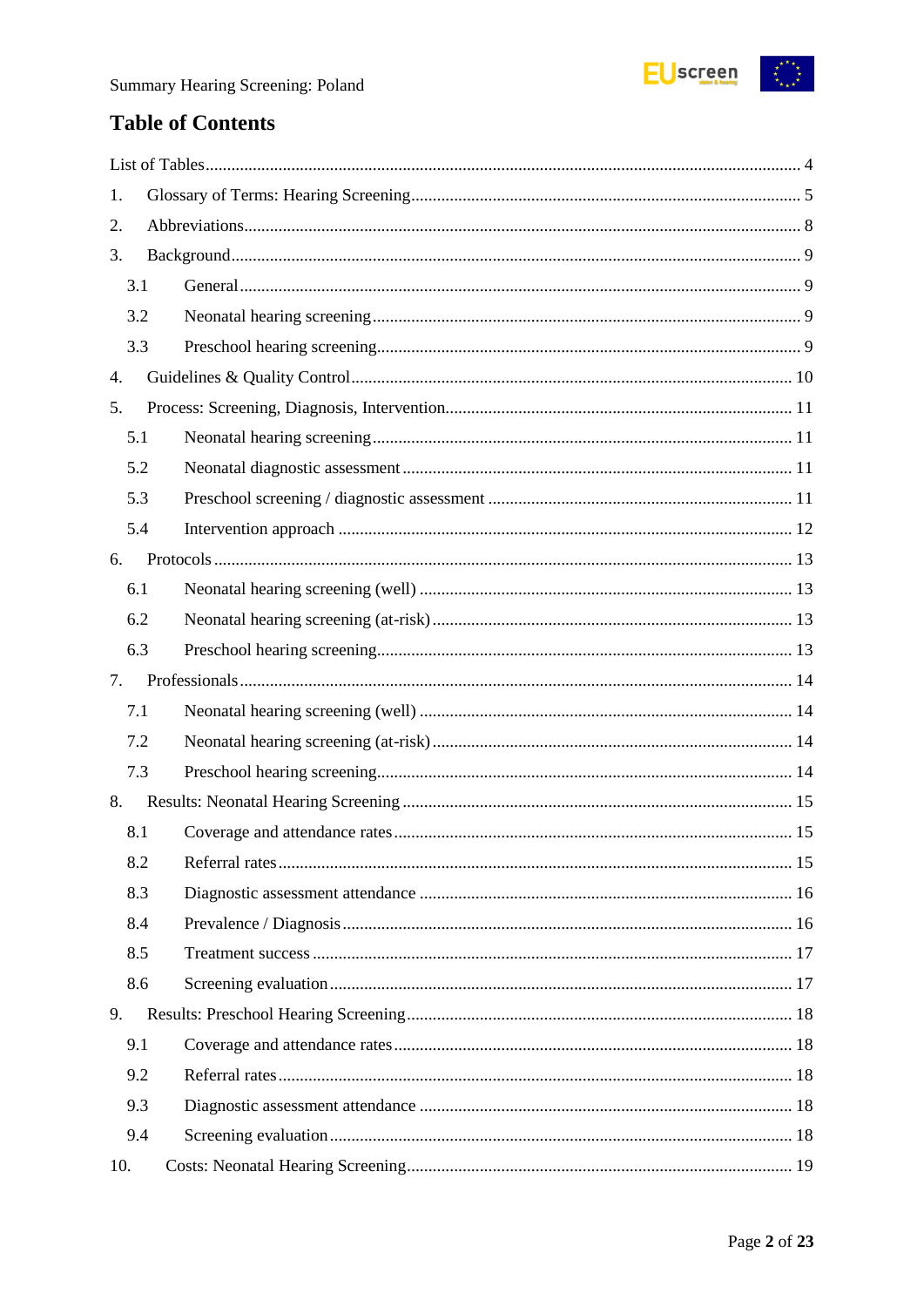

## **Table of Contents**

| 1.  |  |  |  |  |
|-----|--|--|--|--|
| 2.  |  |  |  |  |
| 3.  |  |  |  |  |
| 3.1 |  |  |  |  |
| 3.2 |  |  |  |  |
| 3.3 |  |  |  |  |
| 4.  |  |  |  |  |
| 5.  |  |  |  |  |
| 5.1 |  |  |  |  |
| 5.2 |  |  |  |  |
| 5.3 |  |  |  |  |
| 5.4 |  |  |  |  |
| 6.  |  |  |  |  |
| 6.1 |  |  |  |  |
| 6.2 |  |  |  |  |
| 6.3 |  |  |  |  |
|     |  |  |  |  |
| 7.  |  |  |  |  |
| 7.1 |  |  |  |  |
| 7.2 |  |  |  |  |
| 7.3 |  |  |  |  |
| 8.  |  |  |  |  |
| 8.1 |  |  |  |  |
| 8.2 |  |  |  |  |
| 8.3 |  |  |  |  |
| 8.4 |  |  |  |  |
| 8.5 |  |  |  |  |
| 8.6 |  |  |  |  |
| 9.  |  |  |  |  |
| 9.1 |  |  |  |  |
| 9.2 |  |  |  |  |
| 9.3 |  |  |  |  |
| 9.4 |  |  |  |  |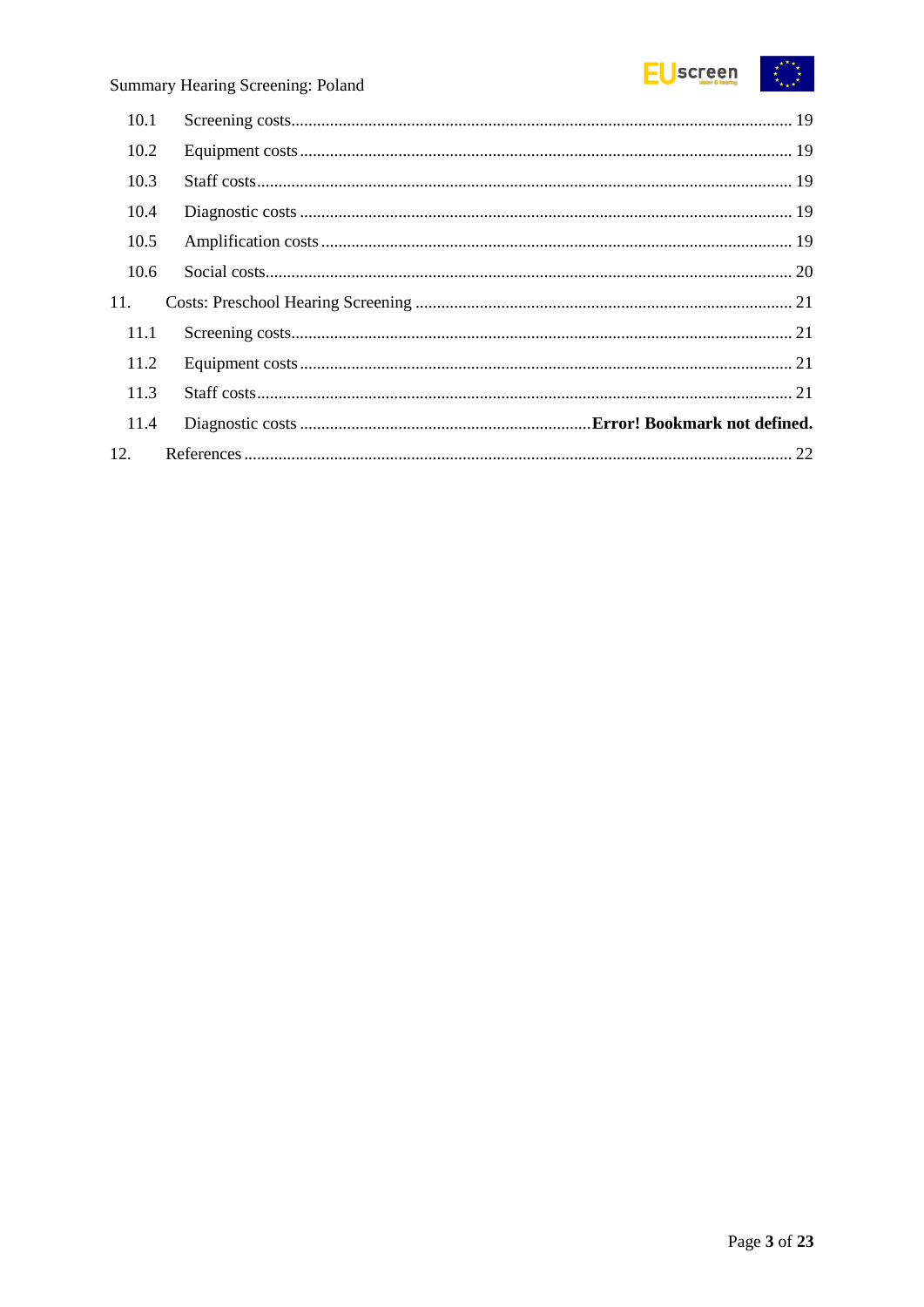

| 10.1 |  |
|------|--|
| 10.2 |  |
| 10.3 |  |
| 10.4 |  |
| 10.5 |  |
| 10.6 |  |
| 11.  |  |
| 11.1 |  |
| 11.2 |  |
| 11.3 |  |
| 11.4 |  |
| 12.  |  |
|      |  |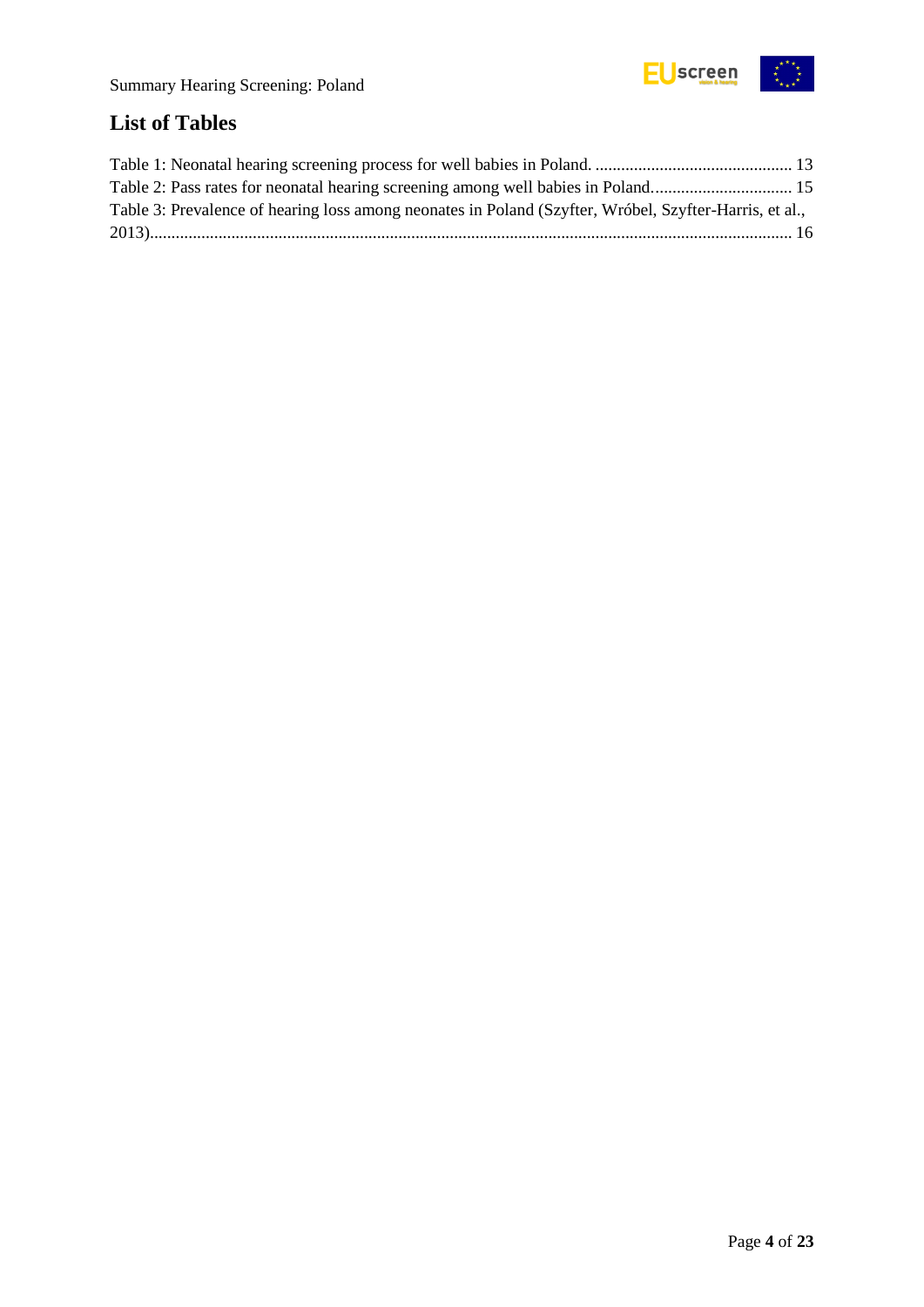

## <span id="page-3-0"></span>**List of Tables**

| Table 3: Prevalence of hearing loss among neonates in Poland (Szyfter, Wróbel, Szyfter-Harris, et al., |  |
|--------------------------------------------------------------------------------------------------------|--|
|                                                                                                        |  |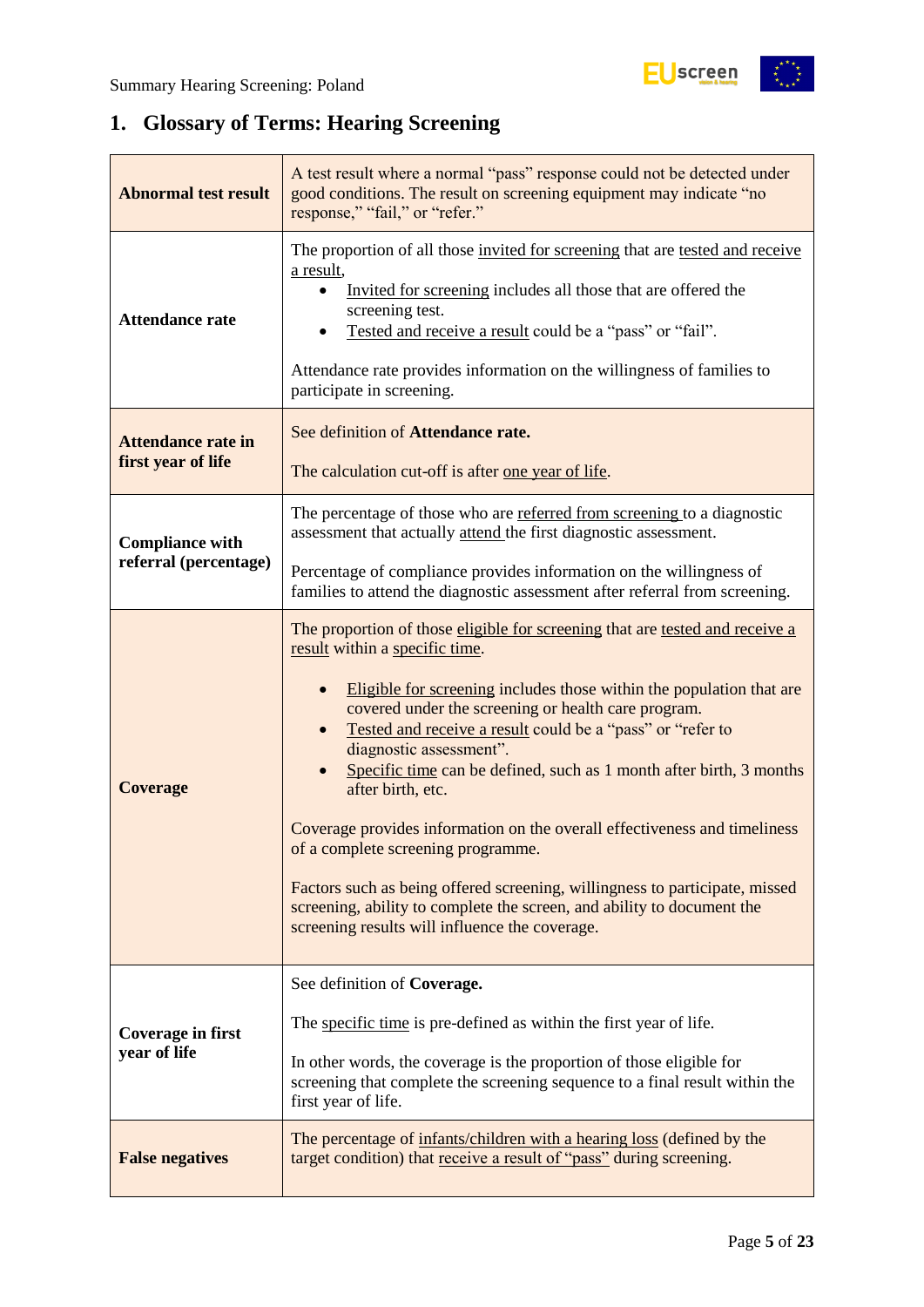## <span id="page-4-0"></span>**1. Glossary of Terms: Hearing Screening**

| <b>Abnormal test result</b>                                                                                                                                             | A test result where a normal "pass" response could not be detected under<br>good conditions. The result on screening equipment may indicate "no<br>response," "fail," or "refer."                                                                                                                                                                                                                                                                                                                                                                                                                                                                                                                                                                                |  |  |  |
|-------------------------------------------------------------------------------------------------------------------------------------------------------------------------|------------------------------------------------------------------------------------------------------------------------------------------------------------------------------------------------------------------------------------------------------------------------------------------------------------------------------------------------------------------------------------------------------------------------------------------------------------------------------------------------------------------------------------------------------------------------------------------------------------------------------------------------------------------------------------------------------------------------------------------------------------------|--|--|--|
| <b>Attendance rate</b>                                                                                                                                                  | The proportion of all those invited for screening that are tested and receive<br>a result,<br>Invited for screening includes all those that are offered the<br>screening test.<br>Tested and receive a result could be a "pass" or "fail".<br>Attendance rate provides information on the willingness of families to<br>participate in screening.                                                                                                                                                                                                                                                                                                                                                                                                                |  |  |  |
| <b>Attendance rate in</b><br>first year of life                                                                                                                         | See definition of Attendance rate.<br>The calculation cut-off is after one year of life.                                                                                                                                                                                                                                                                                                                                                                                                                                                                                                                                                                                                                                                                         |  |  |  |
| <b>Compliance with</b>                                                                                                                                                  | The percentage of those who are referred from screening to a diagnostic<br>assessment that actually attend the first diagnostic assessment.                                                                                                                                                                                                                                                                                                                                                                                                                                                                                                                                                                                                                      |  |  |  |
| referral (percentage)                                                                                                                                                   | Percentage of compliance provides information on the willingness of<br>families to attend the diagnostic assessment after referral from screening.                                                                                                                                                                                                                                                                                                                                                                                                                                                                                                                                                                                                               |  |  |  |
| <b>Coverage</b>                                                                                                                                                         | The proportion of those eligible for screening that are tested and receive a<br>result within a specific time.<br>Eligible for screening includes those within the population that are<br>covered under the screening or health care program.<br>Tested and receive a result could be a "pass" or "refer to<br>diagnostic assessment".<br>Specific time can be defined, such as 1 month after birth, 3 months<br>after birth, etc.<br>Coverage provides information on the overall effectiveness and timeliness<br>of a complete screening programme.<br>Factors such as being offered screening, willingness to participate, missed<br>screening, ability to complete the screen, and ability to document the<br>screening results will influence the coverage. |  |  |  |
| Coverage in first<br>year of life                                                                                                                                       | See definition of Coverage.<br>The specific time is pre-defined as within the first year of life.<br>In other words, the coverage is the proportion of those eligible for<br>screening that complete the screening sequence to a final result within the<br>first year of life.                                                                                                                                                                                                                                                                                                                                                                                                                                                                                  |  |  |  |
| The percentage of infants/children with a hearing loss (defined by the<br>target condition) that receive a result of "pass" during screening.<br><b>False negatives</b> |                                                                                                                                                                                                                                                                                                                                                                                                                                                                                                                                                                                                                                                                                                                                                                  |  |  |  |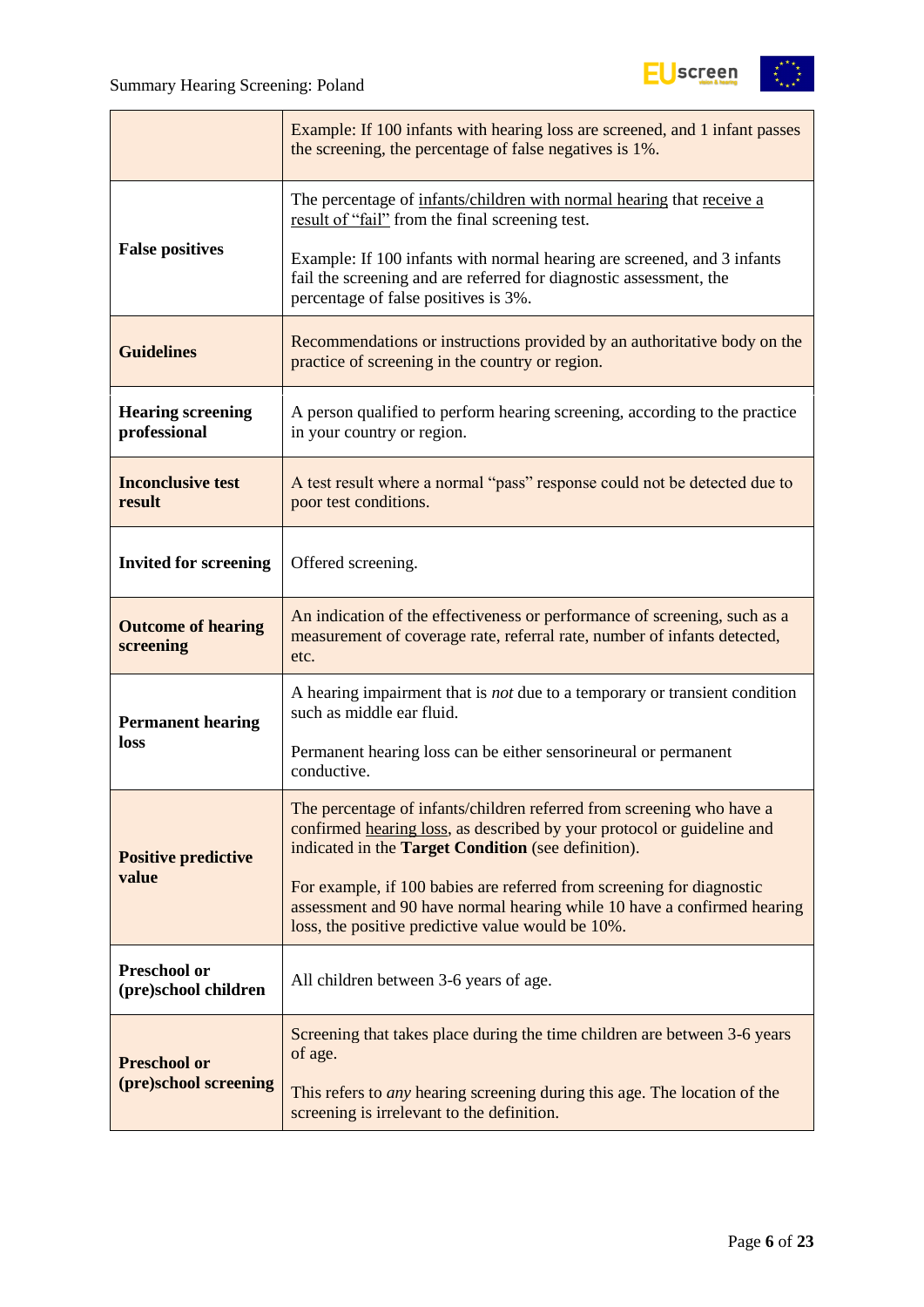

|                                          | Example: If 100 infants with hearing loss are screened, and 1 infant passes<br>the screening, the percentage of false negatives is 1%.                                                                 |  |  |  |
|------------------------------------------|--------------------------------------------------------------------------------------------------------------------------------------------------------------------------------------------------------|--|--|--|
|                                          | The percentage of infants/children with normal hearing that receive a<br>result of "fail" from the final screening test.                                                                               |  |  |  |
| <b>False positives</b>                   | Example: If 100 infants with normal hearing are screened, and 3 infants<br>fail the screening and are referred for diagnostic assessment, the<br>percentage of false positives is 3%.                  |  |  |  |
| <b>Guidelines</b>                        | Recommendations or instructions provided by an authoritative body on the<br>practice of screening in the country or region.                                                                            |  |  |  |
| <b>Hearing screening</b><br>professional | A person qualified to perform hearing screening, according to the practice<br>in your country or region.                                                                                               |  |  |  |
| <b>Inconclusive test</b><br>result       | A test result where a normal "pass" response could not be detected due to<br>poor test conditions.                                                                                                     |  |  |  |
| <b>Invited for screening</b>             | Offered screening.                                                                                                                                                                                     |  |  |  |
| <b>Outcome of hearing</b><br>screening   | An indication of the effectiveness or performance of screening, such as a<br>measurement of coverage rate, referral rate, number of infants detected,<br>etc.                                          |  |  |  |
| <b>Permanent hearing</b>                 | A hearing impairment that is <i>not</i> due to a temporary or transient condition<br>such as middle ear fluid.                                                                                         |  |  |  |
| loss                                     | Permanent hearing loss can be either sensorineural or permanent<br>conductive.                                                                                                                         |  |  |  |
| <b>Positive predictive</b>               | The percentage of infants/children referred from screening who have a<br>confirmed hearing loss, as described by your protocol or guideline and<br>indicated in the Target Condition (see definition). |  |  |  |
| value                                    | For example, if 100 babies are referred from screening for diagnostic<br>assessment and 90 have normal hearing while 10 have a confirmed hearing<br>loss, the positive predictive value would be 10%.  |  |  |  |
| Preschool or<br>(pre)school children     | All children between 3-6 years of age.                                                                                                                                                                 |  |  |  |
| <b>Preschool or</b>                      | Screening that takes place during the time children are between 3-6 years<br>of age.                                                                                                                   |  |  |  |
| (pre)school screening                    | This refers to <i>any</i> hearing screening during this age. The location of the<br>screening is irrelevant to the definition.                                                                         |  |  |  |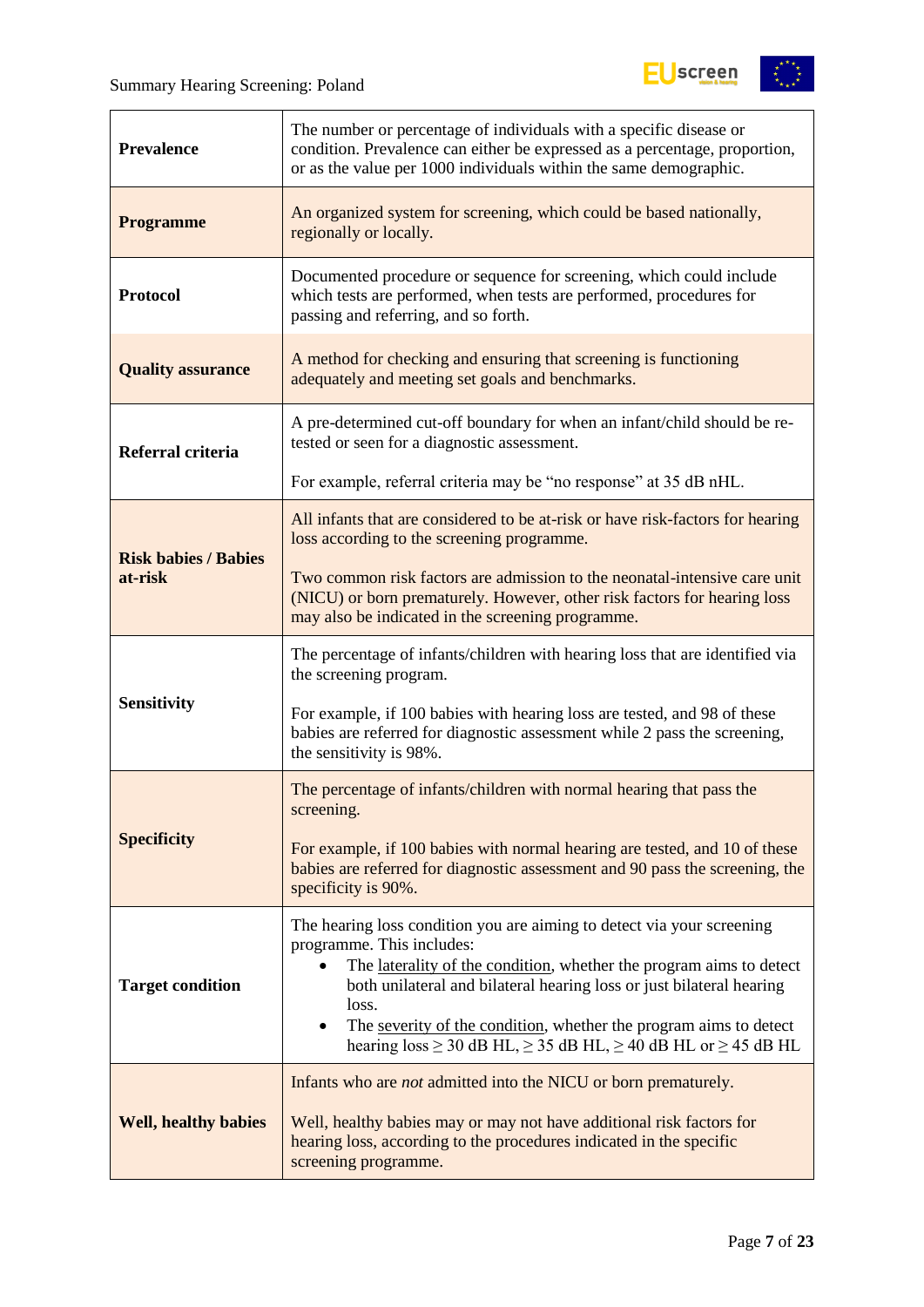

| <b>Prevalence</b>           | The number or percentage of individuals with a specific disease or<br>condition. Prevalence can either be expressed as a percentage, proportion,<br>or as the value per 1000 individuals within the same demographic.                                                    |  |  |  |
|-----------------------------|--------------------------------------------------------------------------------------------------------------------------------------------------------------------------------------------------------------------------------------------------------------------------|--|--|--|
| <b>Programme</b>            | An organized system for screening, which could be based nationally,<br>regionally or locally.                                                                                                                                                                            |  |  |  |
| <b>Protocol</b>             | Documented procedure or sequence for screening, which could include<br>which tests are performed, when tests are performed, procedures for<br>passing and referring, and so forth.                                                                                       |  |  |  |
| <b>Quality assurance</b>    | A method for checking and ensuring that screening is functioning<br>adequately and meeting set goals and benchmarks.                                                                                                                                                     |  |  |  |
| Referral criteria           | A pre-determined cut-off boundary for when an infant/child should be re-<br>tested or seen for a diagnostic assessment.                                                                                                                                                  |  |  |  |
|                             | For example, referral criteria may be "no response" at 35 dB nHL.                                                                                                                                                                                                        |  |  |  |
| <b>Risk babies / Babies</b> | All infants that are considered to be at-risk or have risk-factors for hearing<br>loss according to the screening programme.                                                                                                                                             |  |  |  |
| at-risk                     | Two common risk factors are admission to the neonatal-intensive care unit<br>(NICU) or born prematurely. However, other risk factors for hearing loss<br>may also be indicated in the screening programme.                                                               |  |  |  |
|                             | The percentage of infants/children with hearing loss that are identified via<br>the screening program.                                                                                                                                                                   |  |  |  |
| <b>Sensitivity</b>          | For example, if 100 babies with hearing loss are tested, and 98 of these<br>babies are referred for diagnostic assessment while 2 pass the screening,<br>the sensitivity is 98%.                                                                                         |  |  |  |
|                             | The percentage of infants/children with normal hearing that pass the<br>screening.                                                                                                                                                                                       |  |  |  |
| <b>Specificity</b>          | For example, if 100 babies with normal hearing are tested, and 10 of these<br>babies are referred for diagnostic assessment and 90 pass the screening, the<br>specificity is 90%.                                                                                        |  |  |  |
| <b>Target condition</b>     | The hearing loss condition you are aiming to detect via your screening<br>programme. This includes:<br>The laterality of the condition, whether the program aims to detect<br>$\bullet$<br>both unilateral and bilateral hearing loss or just bilateral hearing<br>loss. |  |  |  |
|                             | The severity of the condition, whether the program aims to detect<br>$\bullet$<br>hearing $loss \ge 30$ dB HL, $\ge 35$ dB HL, $\ge 40$ dB HL or $\ge 45$ dB HL                                                                                                          |  |  |  |
|                             | Infants who are <i>not</i> admitted into the NICU or born prematurely.                                                                                                                                                                                                   |  |  |  |
| <b>Well, healthy babies</b> | Well, healthy babies may or may not have additional risk factors for<br>hearing loss, according to the procedures indicated in the specific<br>screening programme.                                                                                                      |  |  |  |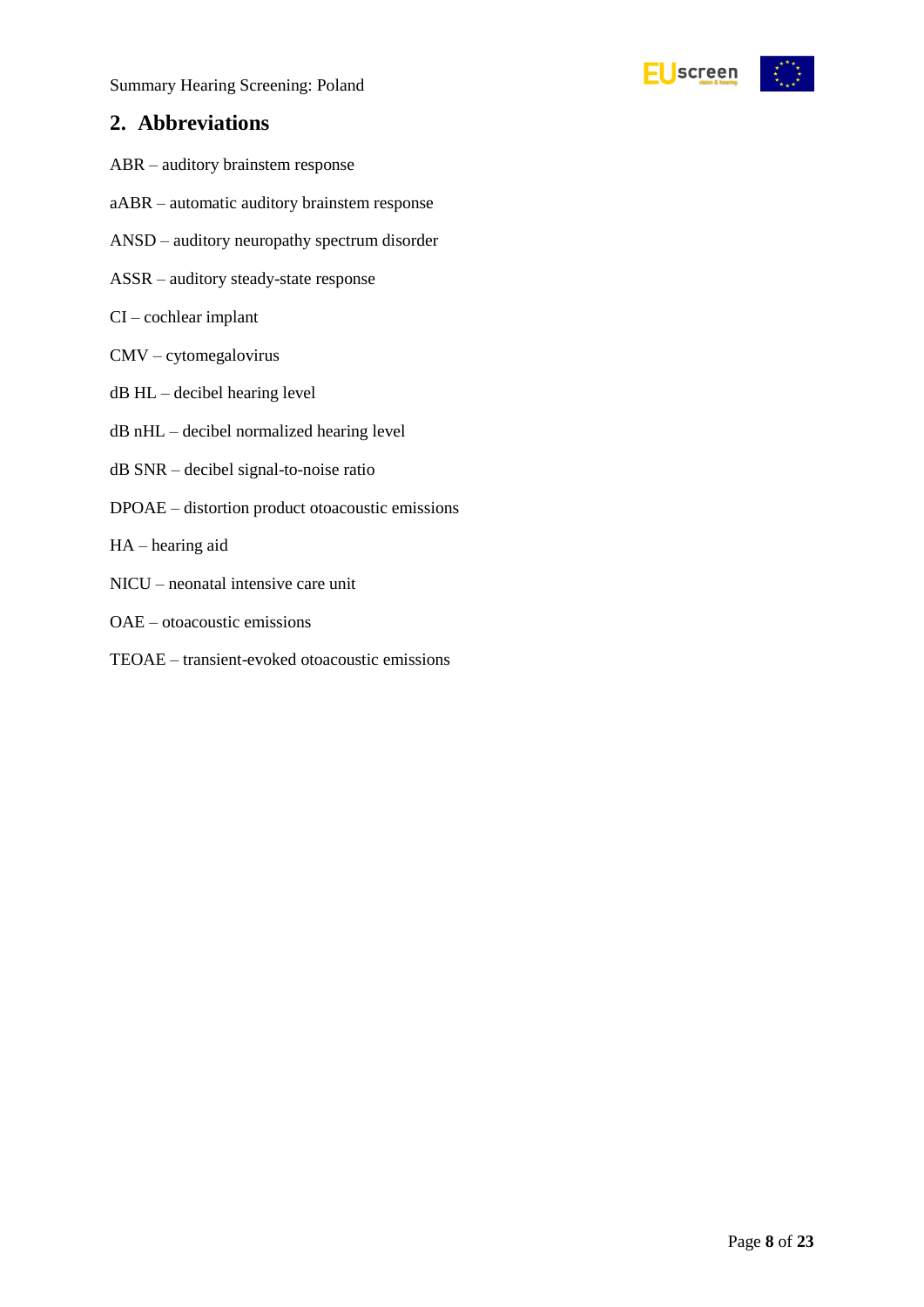

### <span id="page-7-0"></span>**2. Abbreviations**

- ABR auditory brainstem response
- aABR automatic auditory brainstem response
- ANSD auditory neuropathy spectrum disorder
- ASSR auditory steady-state response
- CI cochlear implant
- CMV cytomegalovirus
- dB HL decibel hearing level
- dB nHL decibel normalized hearing level
- dB SNR decibel signal-to-noise ratio
- DPOAE distortion product otoacoustic emissions
- HA hearing aid
- NICU neonatal intensive care unit
- OAE otoacoustic emissions
- TEOAE transient-evoked otoacoustic emissions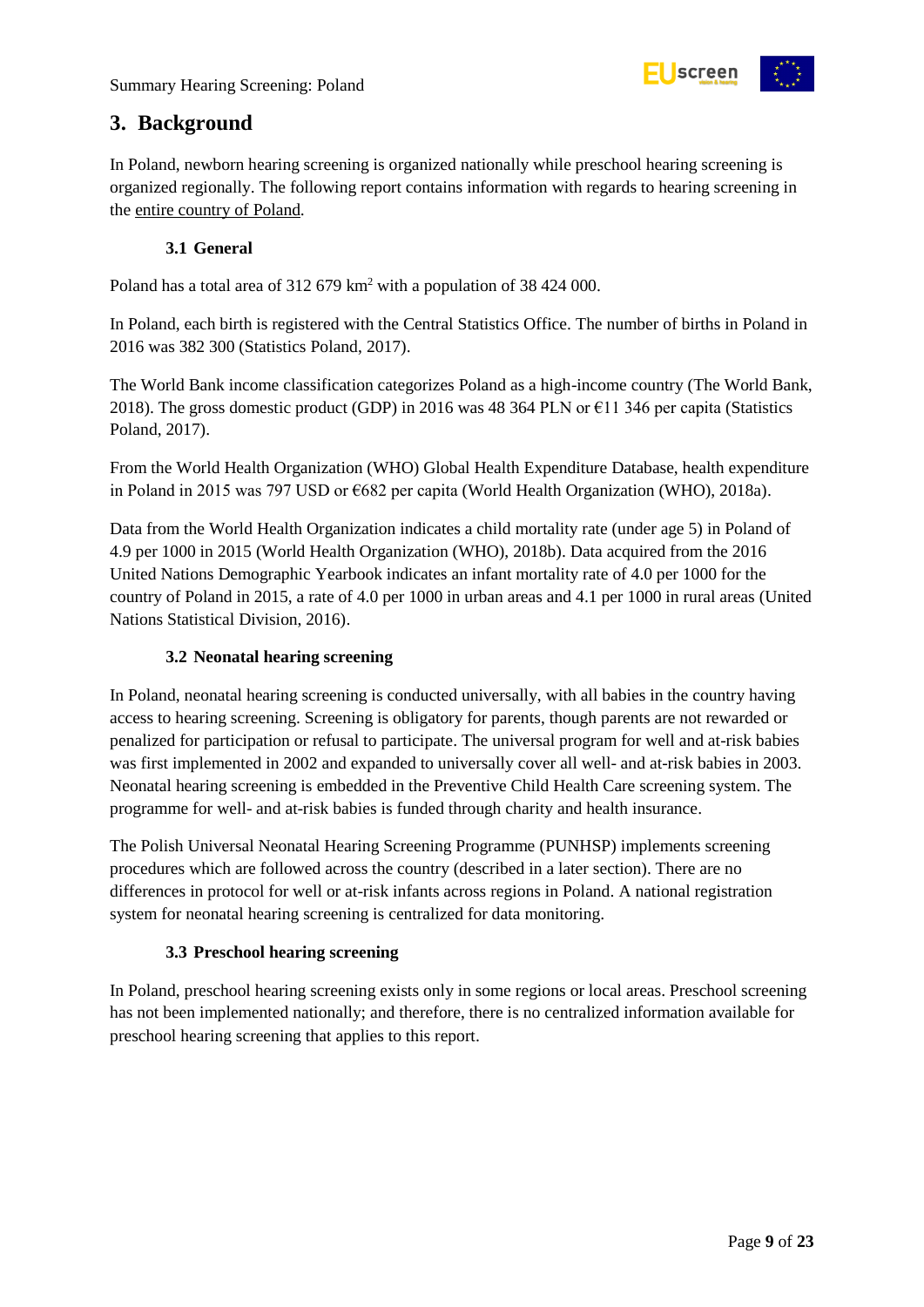

### <span id="page-8-0"></span>**3. Background**

In Poland, newborn hearing screening is organized nationally while preschool hearing screening is organized regionally. The following report contains information with regards to hearing screening in the entire country of Poland.

#### **3.1 General**

<span id="page-8-1"></span>Poland has a total area of 312 679 km<sup>2</sup> with a population of 38 424 000.

In Poland, each birth is registered with the Central Statistics Office. The number of births in Poland in 2016 was 382 300 (Statistics Poland, 2017).

The World Bank income classification categorizes Poland as a high-income country (The World Bank, 2018). The gross domestic product (GDP) in 2016 was 48 364 PLN or  $\epsilon$ 11 346 per capita (Statistics Poland, 2017).

From the World Health Organization (WHO) Global Health Expenditure Database, health expenditure in Poland in 2015 was 797 USD or €682 per capita (World Health Organization (WHO), 2018a).

Data from the World Health Organization indicates a child mortality rate (under age 5) in Poland of 4.9 per 1000 in 2015 (World Health Organization (WHO), 2018b). Data acquired from the 2016 United Nations Demographic Yearbook indicates an infant mortality rate of 4.0 per 1000 for the country of Poland in 2015, a rate of 4.0 per 1000 in urban areas and 4.1 per 1000 in rural areas (United Nations Statistical Division, 2016).

#### **3.2 Neonatal hearing screening**

<span id="page-8-2"></span>In Poland, neonatal hearing screening is conducted universally, with all babies in the country having access to hearing screening. Screening is obligatory for parents, though parents are not rewarded or penalized for participation or refusal to participate. The universal program for well and at-risk babies was first implemented in 2002 and expanded to universally cover all well- and at-risk babies in 2003. Neonatal hearing screening is embedded in the Preventive Child Health Care screening system. The programme for well- and at-risk babies is funded through charity and health insurance.

The Polish Universal Neonatal Hearing Screening Programme (PUNHSP) implements screening procedures which are followed across the country (described in a later section). There are no differences in protocol for well or at-risk infants across regions in Poland. A national registration system for neonatal hearing screening is centralized for data monitoring.

#### **3.3 Preschool hearing screening**

<span id="page-8-3"></span>In Poland, preschool hearing screening exists only in some regions or local areas. Preschool screening has not been implemented nationally; and therefore, there is no centralized information available for preschool hearing screening that applies to this report.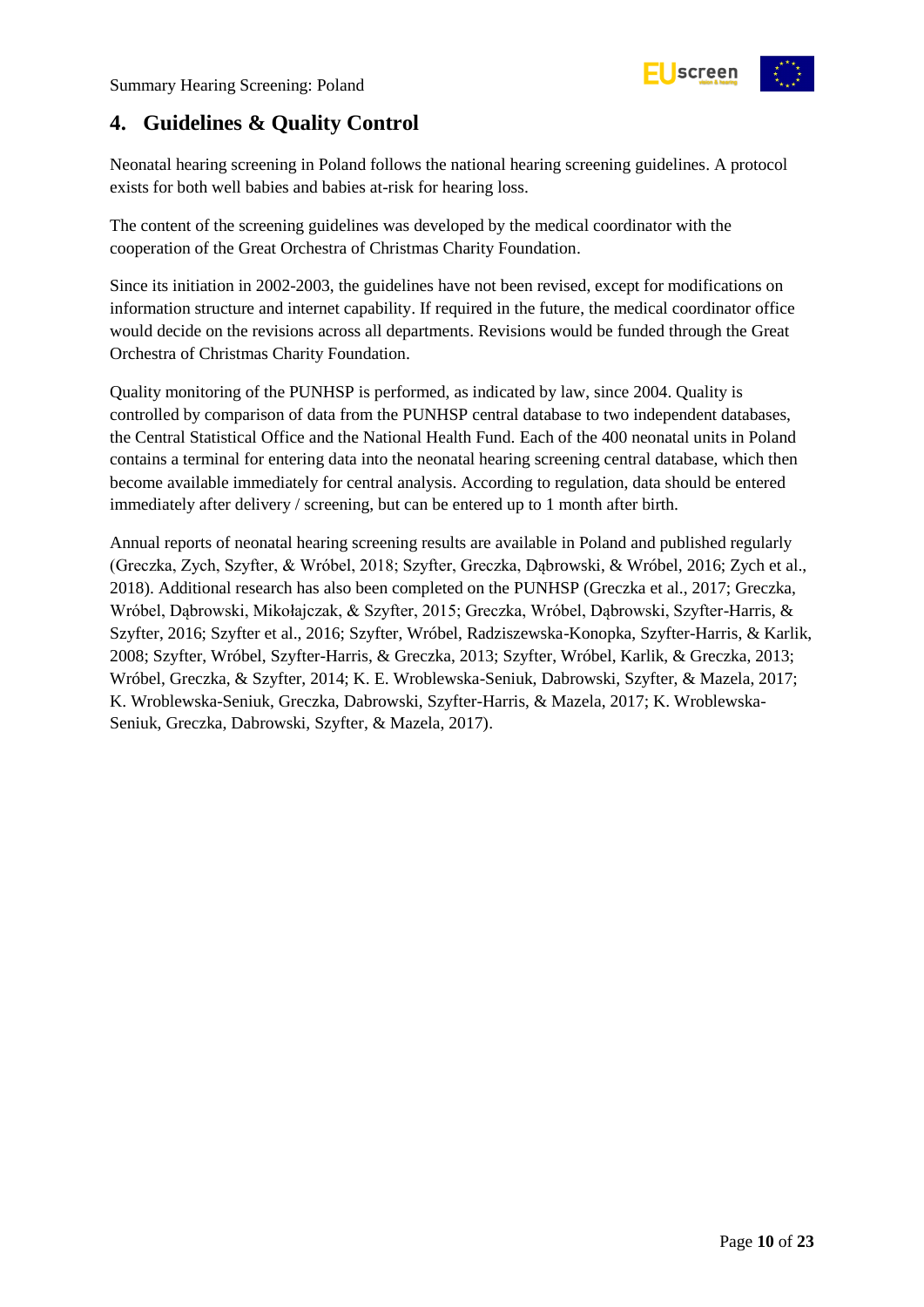

## <span id="page-9-0"></span>**4. Guidelines & Quality Control**

Neonatal hearing screening in Poland follows the national hearing screening guidelines. A protocol exists for both well babies and babies at-risk for hearing loss.

The content of the screening guidelines was developed by the medical coordinator with the cooperation of the Great Orchestra of Christmas Charity Foundation.

Since its initiation in 2002-2003, the guidelines have not been revised, except for modifications on information structure and internet capability. If required in the future, the medical coordinator office would decide on the revisions across all departments. Revisions would be funded through the Great Orchestra of Christmas Charity Foundation.

Quality monitoring of the PUNHSP is performed, as indicated by law, since 2004. Quality is controlled by comparison of data from the PUNHSP central database to two independent databases, the Central Statistical Office and the National Health Fund. Each of the 400 neonatal units in Poland contains a terminal for entering data into the neonatal hearing screening central database, which then become available immediately for central analysis. According to regulation, data should be entered immediately after delivery / screening, but can be entered up to 1 month after birth.

Annual reports of neonatal hearing screening results are available in Poland and published regularly (Greczka, Zych, Szyfter, & Wróbel, 2018; Szyfter, Greczka, Dąbrowski, & Wróbel, 2016; Zych et al., 2018). Additional research has also been completed on the PUNHSP (Greczka et al., 2017; Greczka, Wróbel, Dąbrowski, Mikołajczak, & Szyfter, 2015; Greczka, Wróbel, Dąbrowski, Szyfter-Harris, & Szyfter, 2016; Szyfter et al., 2016; Szyfter, Wróbel, Radziszewska-Konopka, Szyfter-Harris, & Karlik, 2008; Szyfter, Wróbel, Szyfter-Harris, & Greczka, 2013; Szyfter, Wróbel, Karlik, & Greczka, 2013; Wróbel, Greczka, & Szyfter, 2014; K. E. Wroblewska-Seniuk, Dabrowski, Szyfter, & Mazela, 2017; K. Wroblewska-Seniuk, Greczka, Dabrowski, Szyfter-Harris, & Mazela, 2017; K. Wroblewska-Seniuk, Greczka, Dabrowski, Szyfter, & Mazela, 2017).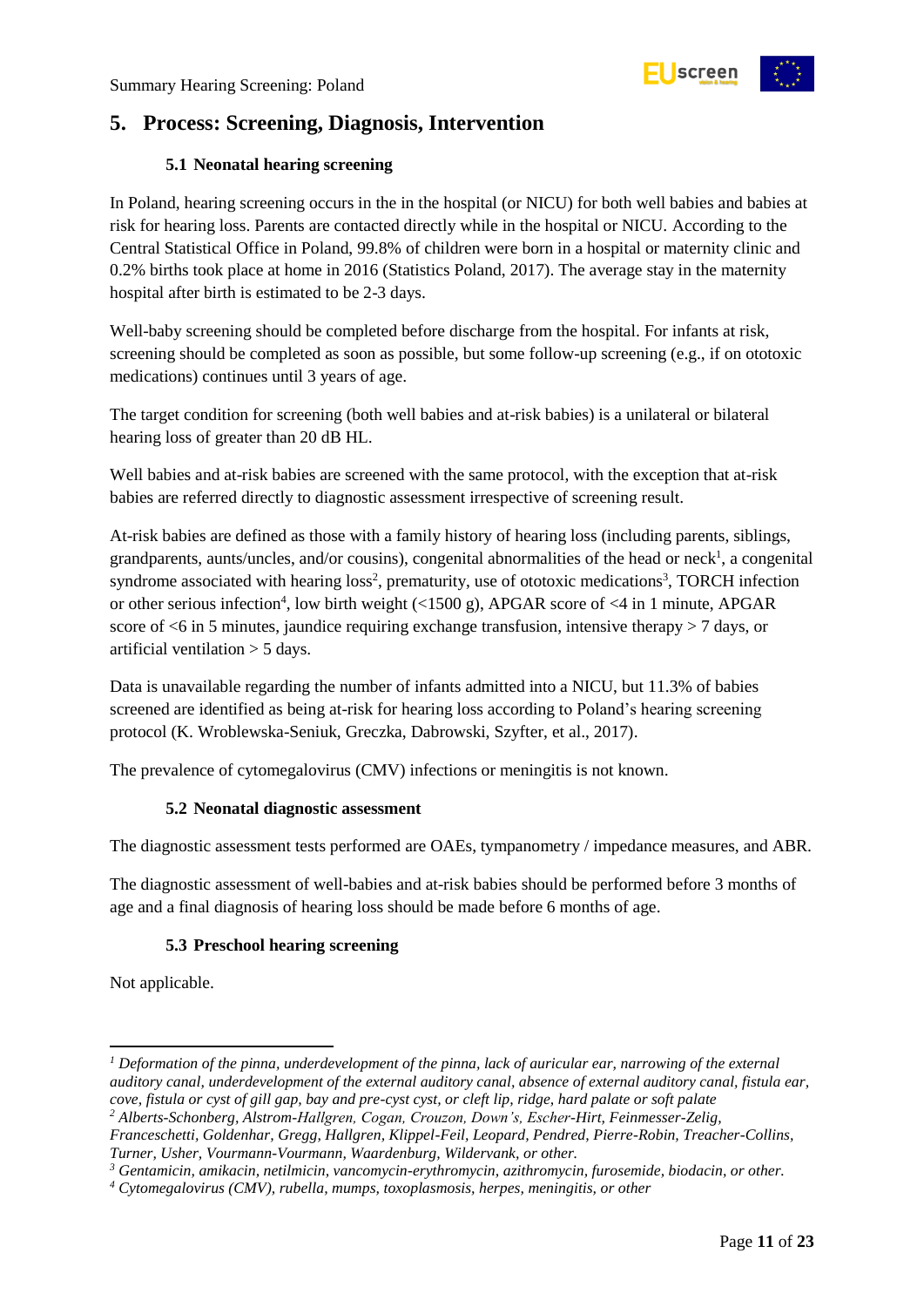## <span id="page-10-0"></span>**5. Process: Screening, Diagnosis, Intervention**

#### **5.1 Neonatal hearing screening**

<span id="page-10-1"></span>In Poland, hearing screening occurs in the in the hospital (or NICU) for both well babies and babies at risk for hearing loss. Parents are contacted directly while in the hospital or NICU. According to the Central Statistical Office in Poland, 99.8% of children were born in a hospital or maternity clinic and 0.2% births took place at home in 2016 (Statistics Poland, 2017). The average stay in the maternity hospital after birth is estimated to be 2-3 days.

Well-baby screening should be completed before discharge from the hospital. For infants at risk, screening should be completed as soon as possible, but some follow-up screening (e.g., if on ototoxic medications) continues until 3 years of age.

The target condition for screening (both well babies and at-risk babies) is a unilateral or bilateral hearing loss of greater than 20 dB HL.

Well babies and at-risk babies are screened with the same protocol, with the exception that at-risk babies are referred directly to diagnostic assessment irrespective of screening result.

At-risk babies are defined as those with a family history of hearing loss (including parents, siblings, grandparents, aunts/uncles, and/or cousins), congenital abnormalities of the head or neck<sup>1</sup>, a congenital syndrome associated with hearing loss<sup>2</sup>, prematurity, use of ototoxic medications<sup>3</sup>, TORCH infection or other serious infection<sup>4</sup>, low birth weight (<1500 g), APGAR score of <4 in 1 minute, APGAR score of  $\leq 6$  in 5 minutes, jaundice requiring exchange transfusion, intensive therapy  $> 7$  days, or artificial ventilation > 5 days.

Data is unavailable regarding the number of infants admitted into a NICU, but 11.3% of babies screened are identified as being at-risk for hearing loss according to Poland's hearing screening protocol (K. Wroblewska-Seniuk, Greczka, Dabrowski, Szyfter, et al., 2017).

<span id="page-10-2"></span>The prevalence of cytomegalovirus (CMV) infections or meningitis is not known.

#### **5.2 Neonatal diagnostic assessment**

The diagnostic assessment tests performed are OAEs, tympanometry / impedance measures, and ABR.

The diagnostic assessment of well-babies and at-risk babies should be performed before 3 months of age and a final diagnosis of hearing loss should be made before 6 months of age.

#### **5.3 Preschool hearing screening**

<span id="page-10-3"></span>Not applicable.

1

*<sup>1</sup> Deformation of the pinna, underdevelopment of the pinna, lack of auricular ear, narrowing of the external auditory canal, underdevelopment of the external auditory canal, absence of external auditory canal, fistula ear, cove, fistula or cyst of gill gap, bay and pre-cyst cyst, or cleft lip, ridge, hard palate or soft palate*

*<sup>2</sup> Alberts-Schonberg, Alstrom-Hallgren, Cogan, Crouzon, Down's, Escher-Hirt, Feinmesser-Zelig, Franceschetti, Goldenhar, Gregg, Hallgren, Klippel-Feil, Leopard, Pendred, Pierre-Robin, Treacher-Collins, Turner, Usher, Vourmann-Vourmann, Waardenburg, Wildervank, or other.*

*<sup>3</sup> Gentamicin, amikacin, netilmicin, vancomycin-erythromycin, azithromycin, furosemide, biodacin, or other.*

*<sup>4</sup> Cytomegalovirus (CMV), rubella, mumps, toxoplasmosis, herpes, meningitis, or other*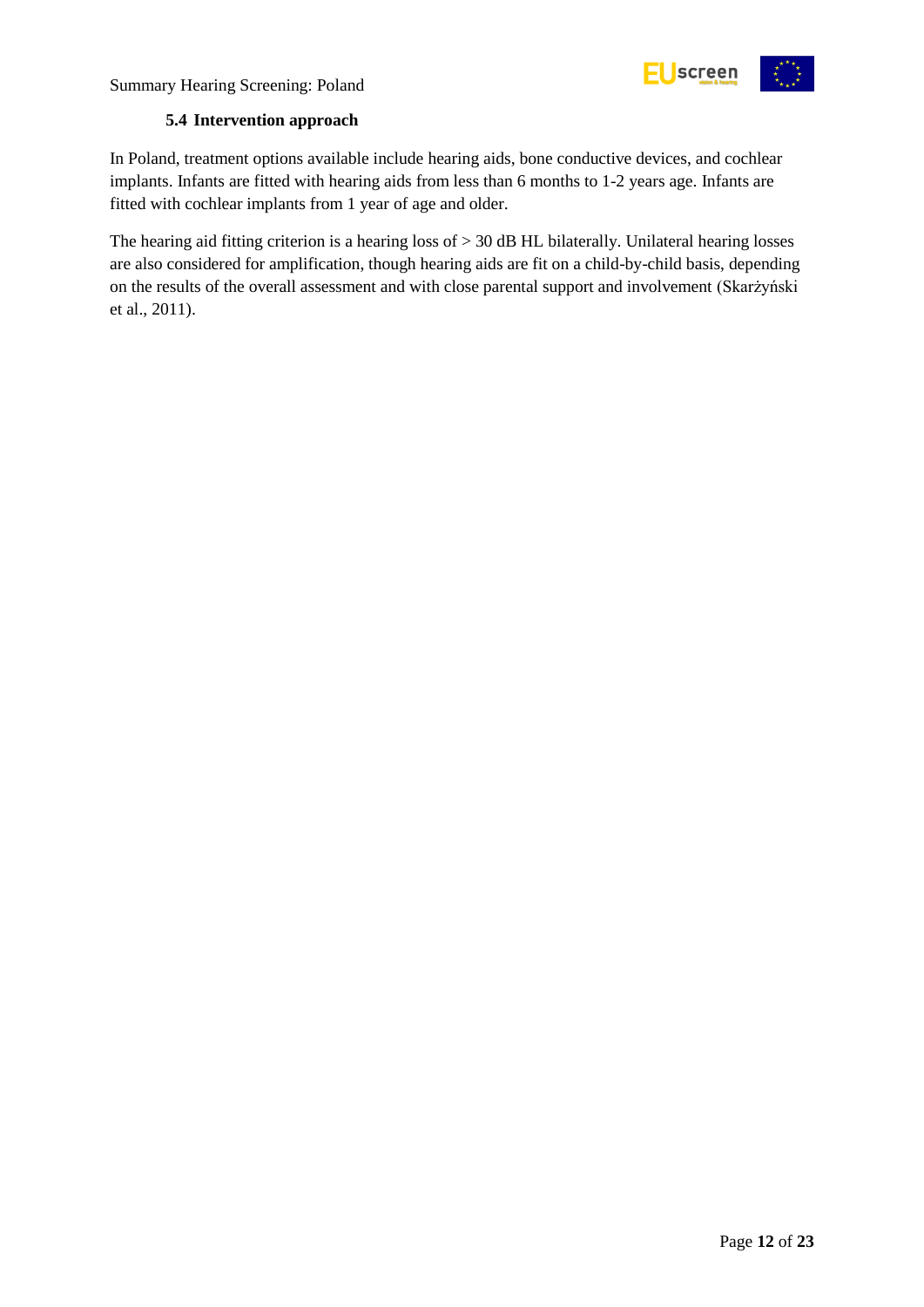

#### **5.4 Intervention approach**

<span id="page-11-0"></span>In Poland, treatment options available include hearing aids, bone conductive devices, and cochlear implants. Infants are fitted with hearing aids from less than 6 months to 1-2 years age. Infants are fitted with cochlear implants from 1 year of age and older.

The hearing aid fitting criterion is a hearing loss of  $> 30$  dB HL bilaterally. Unilateral hearing losses are also considered for amplification, though hearing aids are fit on a child-by-child basis, depending on the results of the overall assessment and with close parental support and involvement (Skarżyński et al., 2011).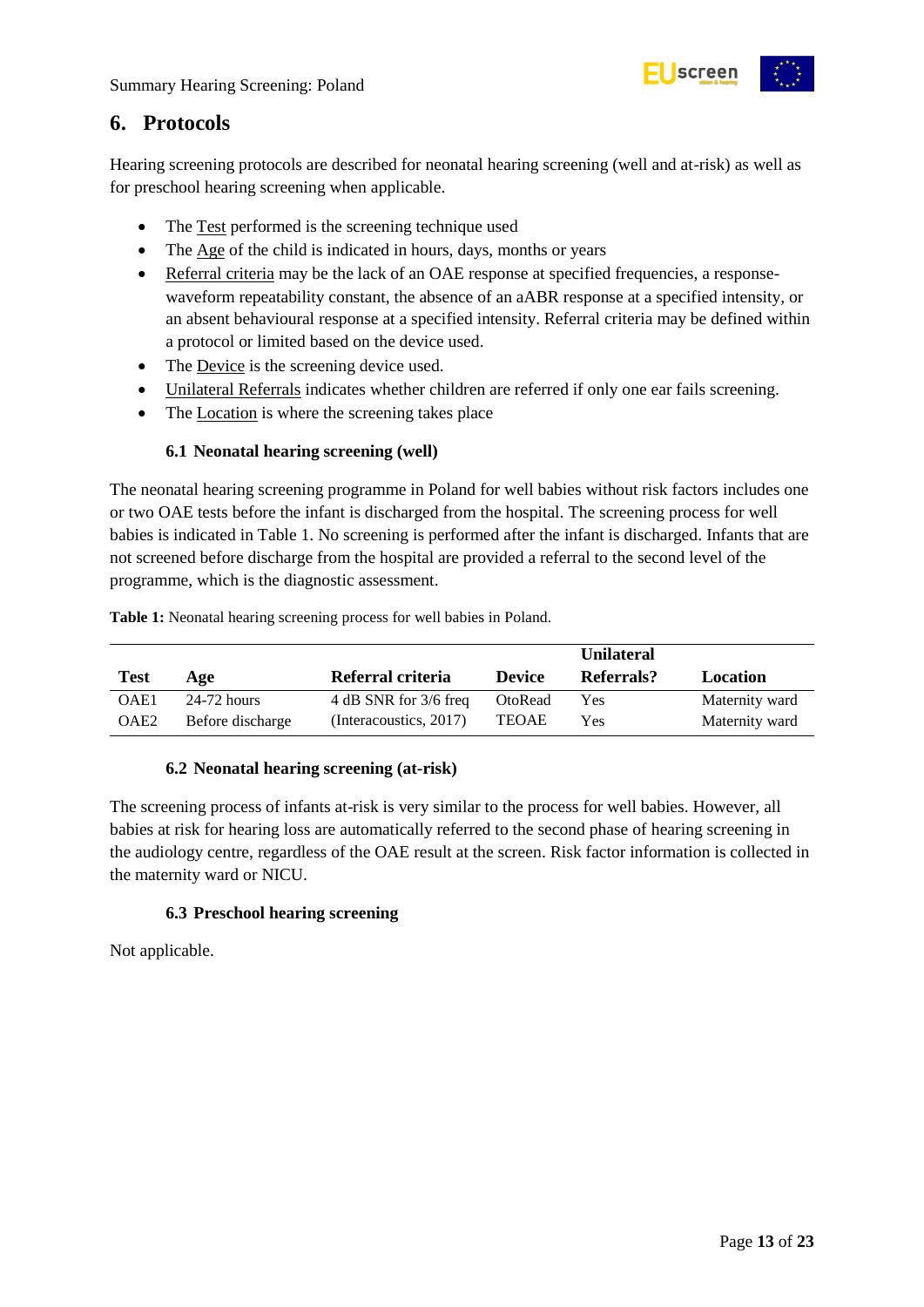

### <span id="page-12-0"></span>**6. Protocols**

Hearing screening protocols are described for neonatal hearing screening (well and at-risk) as well as for preschool hearing screening when applicable.

- The Test performed is the screening technique used
- The Age of the child is indicated in hours, days, months or years
- Referral criteria may be the lack of an OAE response at specified frequencies, a responsewaveform repeatability constant, the absence of an aABR response at a specified intensity, or an absent behavioural response at a specified intensity. Referral criteria may be defined within a protocol or limited based on the device used.
- The Device is the screening device used.
- Unilateral Referrals indicates whether children are referred if only one ear fails screening.
- The Location is where the screening takes place

#### **6.1 Neonatal hearing screening (well)**

<span id="page-12-1"></span>The neonatal hearing screening programme in Poland for well babies without risk factors includes one or two OAE tests before the infant is discharged from the hospital. The screening process for well babies is indicated in [Table 1.](#page-12-4) No screening is performed after the infant is discharged. Infants that are not screened before discharge from the hospital are provided a referral to the second level of the programme, which is the diagnostic assessment.

<span id="page-12-4"></span>

|                  |                  |                        |               | <b>Unilateral</b> |                |
|------------------|------------------|------------------------|---------------|-------------------|----------------|
| <b>Test</b>      | Age              | Referral criteria      | <b>Device</b> | Referrals?        | Location       |
| OAE1             | 24-72 hours      | 4 dB SNR for 3/6 freq  | OtoRead       | Yes               | Maternity ward |
| OAE <sub>2</sub> | Before discharge | (Interacoustics, 2017) | <b>TEOAE</b>  | Yes               | Maternity ward |

#### **6.2 Neonatal hearing screening (at-risk)**

<span id="page-12-2"></span>The screening process of infants at-risk is very similar to the process for well babies. However, all babies at risk for hearing loss are automatically referred to the second phase of hearing screening in the audiology centre, regardless of the OAE result at the screen. Risk factor information is collected in the maternity ward or NICU.

#### **6.3 Preschool hearing screening**

<span id="page-12-3"></span>Not applicable.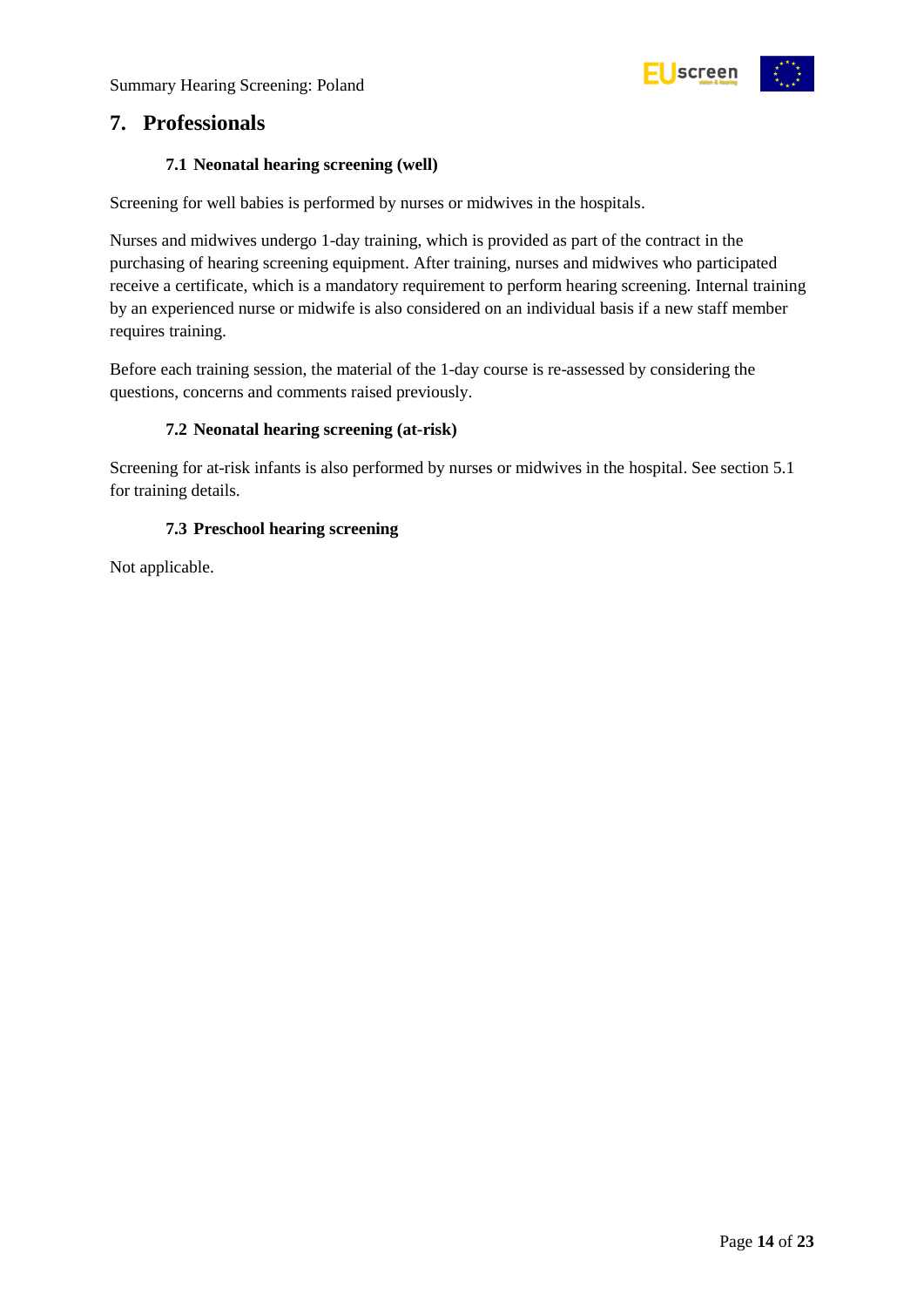

### <span id="page-13-0"></span>**7. Professionals**

#### **7.1 Neonatal hearing screening (well)**

<span id="page-13-1"></span>Screening for well babies is performed by nurses or midwives in the hospitals.

Nurses and midwives undergo 1-day training, which is provided as part of the contract in the purchasing of hearing screening equipment. After training, nurses and midwives who participated receive a certificate, which is a mandatory requirement to perform hearing screening. Internal training by an experienced nurse or midwife is also considered on an individual basis if a new staff member requires training.

Before each training session, the material of the 1-day course is re-assessed by considering the questions, concerns and comments raised previously.

#### **7.2 Neonatal hearing screening (at-risk)**

<span id="page-13-2"></span>Screening for at-risk infants is also performed by nurses or midwives in the hospital. See section 5.1 for training details.

#### **7.3 Preschool hearing screening**

<span id="page-13-3"></span>Not applicable.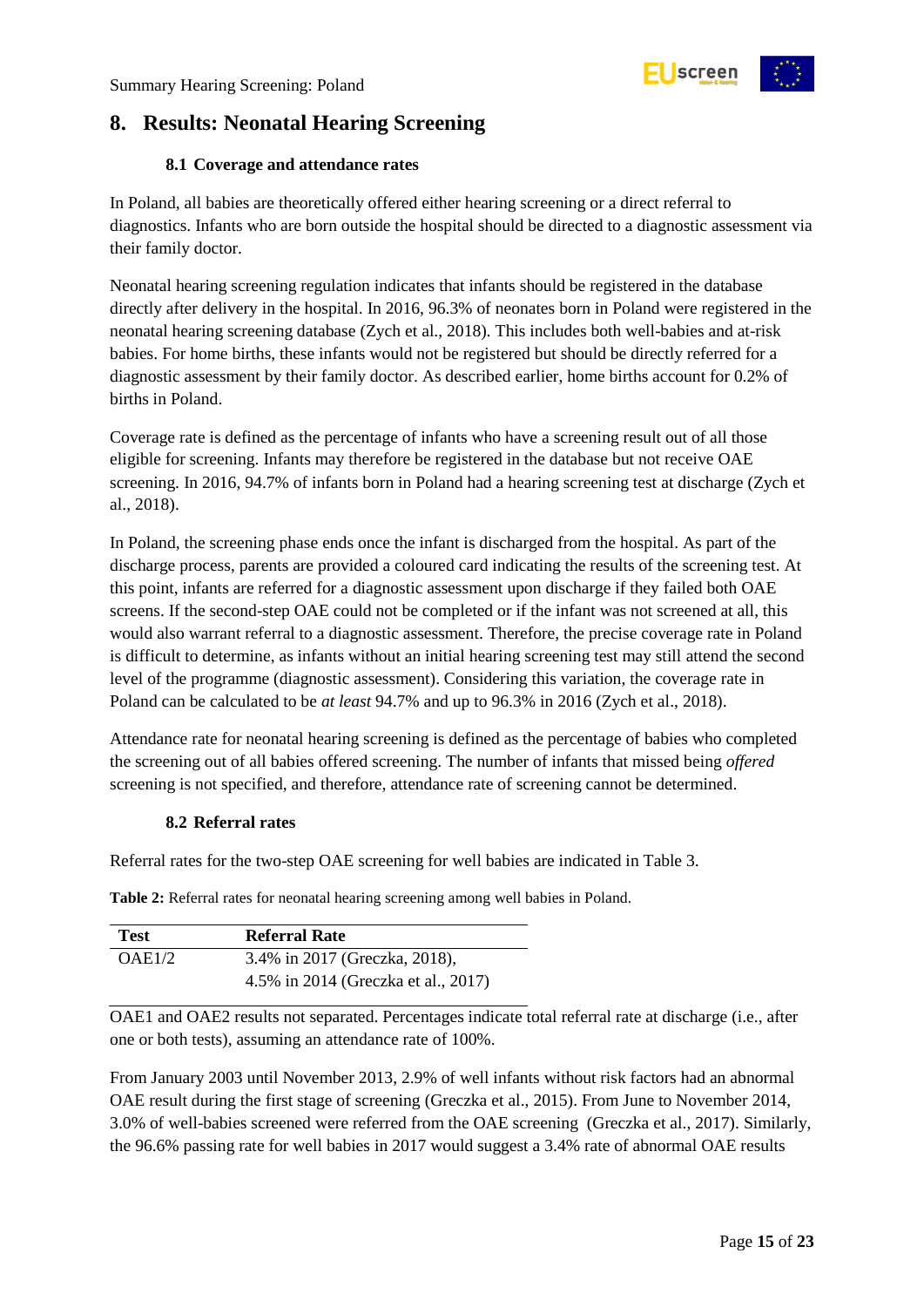

## <span id="page-14-0"></span>**8. Results: Neonatal Hearing Screening**

#### **8.1 Coverage and attendance rates**

<span id="page-14-1"></span>In Poland, all babies are theoretically offered either hearing screening or a direct referral to diagnostics. Infants who are born outside the hospital should be directed to a diagnostic assessment via their family doctor.

Neonatal hearing screening regulation indicates that infants should be registered in the database directly after delivery in the hospital. In 2016, 96.3% of neonates born in Poland were registered in the neonatal hearing screening database (Zych et al., 2018). This includes both well-babies and at-risk babies. For home births, these infants would not be registered but should be directly referred for a diagnostic assessment by their family doctor. As described earlier, home births account for 0.2% of births in Poland.

Coverage rate is defined as the percentage of infants who have a screening result out of all those eligible for screening. Infants may therefore be registered in the database but not receive OAE screening. In 2016, 94.7% of infants born in Poland had a hearing screening test at discharge (Zych et al., 2018).

In Poland, the screening phase ends once the infant is discharged from the hospital. As part of the discharge process, parents are provided a coloured card indicating the results of the screening test. At this point, infants are referred for a diagnostic assessment upon discharge if they failed both OAE screens. If the second-step OAE could not be completed or if the infant was not screened at all, this would also warrant referral to a diagnostic assessment. Therefore, the precise coverage rate in Poland is difficult to determine, as infants without an initial hearing screening test may still attend the second level of the programme (diagnostic assessment). Considering this variation, the coverage rate in Poland can be calculated to be *at least* 94.7% and up to 96.3% in 2016 (Zych et al., 2018).

Attendance rate for neonatal hearing screening is defined as the percentage of babies who completed the screening out of all babies offered screening. The number of infants that missed being *offered* screening is not specified, and therefore, attendance rate of screening cannot be determined.

#### **8.2 Referral rates**

<span id="page-14-2"></span>Referral rates for the two-step OAE screening for well babies are indicated in Table 3.

| <b>Test</b> | <b>Referral Rate</b>                |
|-------------|-------------------------------------|
| OAE1/2      | 3.4% in 2017 (Greczka, 2018),       |
|             | 4.5% in 2014 (Greczka et al., 2017) |

<span id="page-14-3"></span>**Table 2:** Referral rates for neonatal hearing screening among well babies in Poland.

OAE1 and OAE2 results not separated. Percentages indicate total referral rate at discharge (i.e., after one or both tests), assuming an attendance rate of 100%.

From January 2003 until November 2013, 2.9% of well infants without risk factors had an abnormal OAE result during the first stage of screening (Greczka et al., 2015). From June to November 2014, 3.0% of well-babies screened were referred from the OAE screening (Greczka et al., 2017). Similarly, the 96.6% passing rate for well babies in 2017 would suggest a 3.4% rate of abnormal OAE results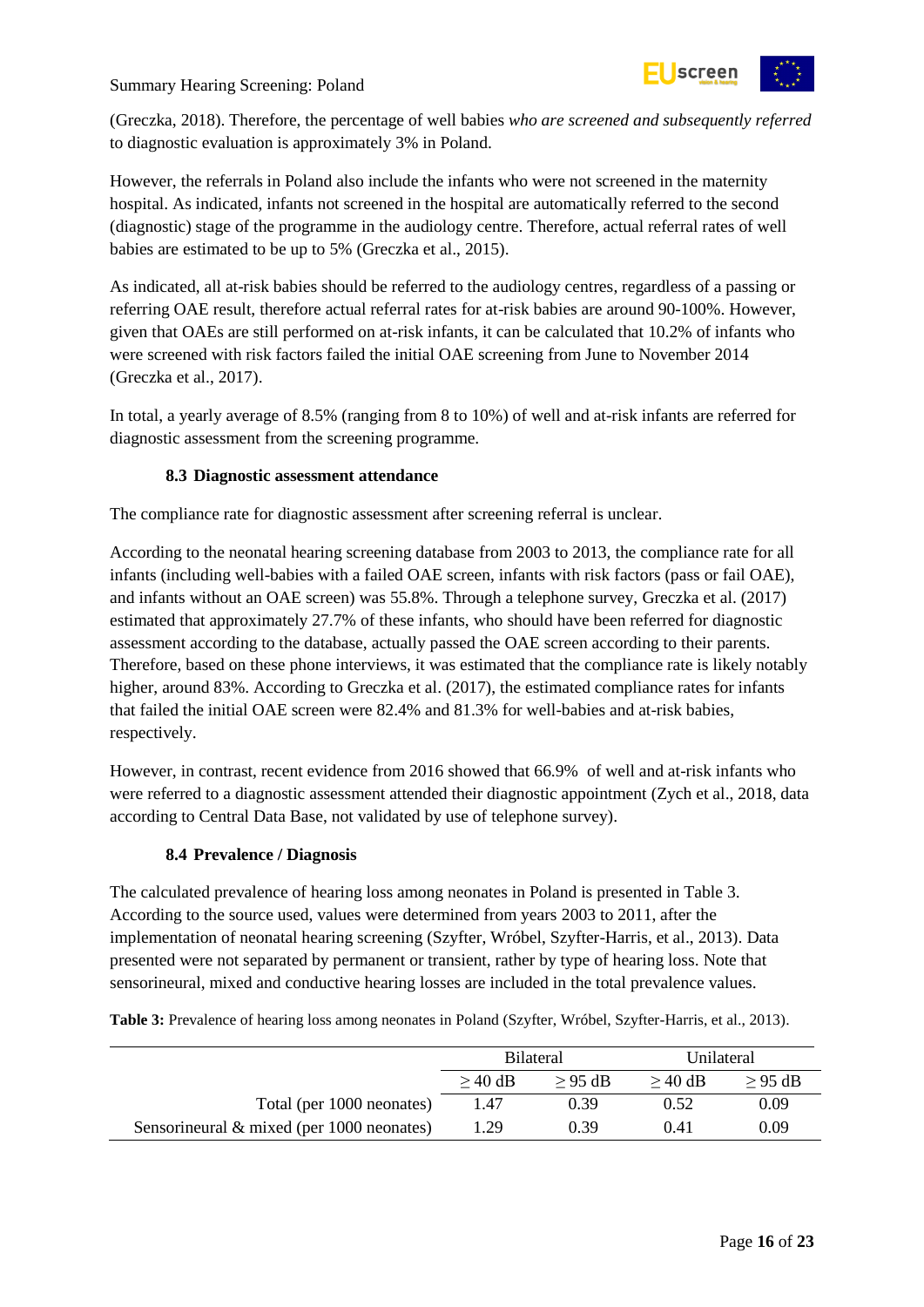

(Greczka, 2018). Therefore, the percentage of well babies *who are screened and subsequently referred* to diagnostic evaluation is approximately 3% in Poland.

However, the referrals in Poland also include the infants who were not screened in the maternity hospital. As indicated, infants not screened in the hospital are automatically referred to the second (diagnostic) stage of the programme in the audiology centre. Therefore, actual referral rates of well babies are estimated to be up to 5% (Greczka et al., 2015).

As indicated, all at-risk babies should be referred to the audiology centres, regardless of a passing or referring OAE result, therefore actual referral rates for at-risk babies are around 90-100%. However, given that OAEs are still performed on at-risk infants, it can be calculated that 10.2% of infants who were screened with risk factors failed the initial OAE screening from June to November 2014 (Greczka et al., 2017).

In total, a yearly average of 8.5% (ranging from 8 to 10%) of well and at-risk infants are referred for diagnostic assessment from the screening programme.

#### **8.3 Diagnostic assessment attendance**

<span id="page-15-0"></span>The compliance rate for diagnostic assessment after screening referral is unclear.

According to the neonatal hearing screening database from 2003 to 2013, the compliance rate for all infants (including well-babies with a failed OAE screen, infants with risk factors (pass or fail OAE), and infants without an OAE screen) was 55.8%. Through a telephone survey, Greczka et al. (2017) estimated that approximately 27.7% of these infants, who should have been referred for diagnostic assessment according to the database, actually passed the OAE screen according to their parents. Therefore, based on these phone interviews, it was estimated that the compliance rate is likely notably higher, around 83%. According to Greczka et al. (2017), the estimated compliance rates for infants that failed the initial OAE screen were 82.4% and 81.3% for well-babies and at-risk babies, respectively.

However, in contrast, recent evidence from 2016 showed that 66.9% of well and at-risk infants who were referred to a diagnostic assessment attended their diagnostic appointment (Zych et al., 2018, data according to Central Data Base, not validated by use of telephone survey).

#### **8.4 Prevalence / Diagnosis**

<span id="page-15-1"></span>The calculated prevalence of hearing loss among neonates in Poland is presented i[n Table 3.](#page-15-2) According to the source used, values were determined from years 2003 to 2011, after the implementation of neonatal hearing screening (Szyfter, Wróbel, Szyfter-Harris, et al., 2013). Data presented were not separated by permanent or transient, rather by type of hearing loss. Note that sensorineural, mixed and conductive hearing losses are included in the total prevalence values.

<span id="page-15-2"></span>**Table 3:** Prevalence of hearing loss among neonates in Poland (Szyfter, Wróbel, Szyfter-Harris, et al., 2013).

|                                              | <b>Bilateral</b> |           | Unilateral |          |
|----------------------------------------------|------------------|-----------|------------|----------|
|                                              | $\geq$ 40 dB     | $> 95$ dB | $>40$ dB   | $>95$ dB |
| Total (per 1000 neonates)                    | 1.47             | 0.39      | 0.52       | 0.09     |
| Sensorineural $\&$ mixed (per 1000 neonates) | .29              | 0.39      | 0.41       | 0.09     |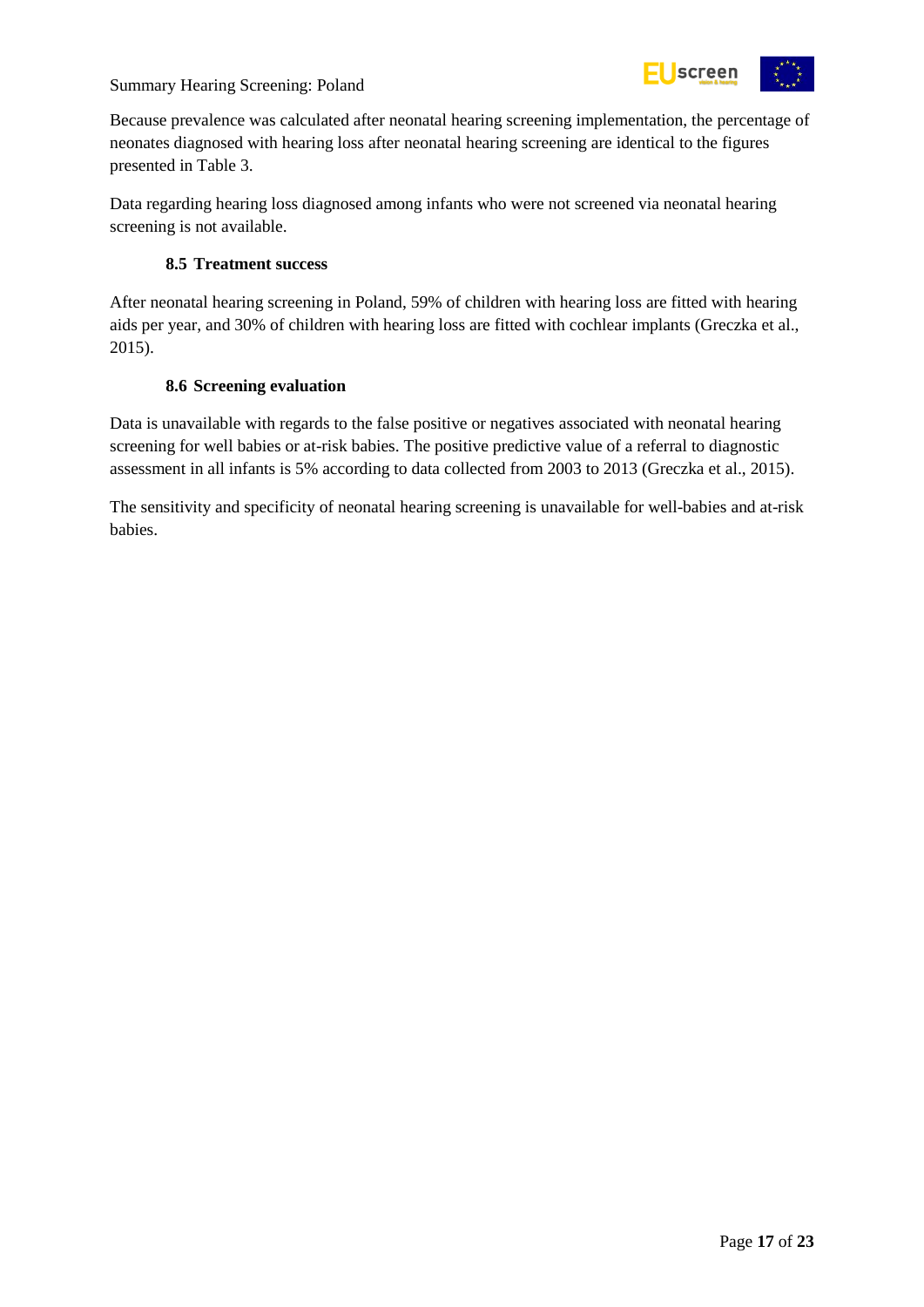

Because prevalence was calculated after neonatal hearing screening implementation, the percentage of neonates diagnosed with hearing loss after neonatal hearing screening are identical to the figures presented in [Table 3.](#page-15-2)

Data regarding hearing loss diagnosed among infants who were not screened via neonatal hearing screening is not available.

#### **8.5 Treatment success**

<span id="page-16-0"></span>After neonatal hearing screening in Poland, 59% of children with hearing loss are fitted with hearing aids per year, and 30% of children with hearing loss are fitted with cochlear implants (Greczka et al., 2015).

#### **8.6 Screening evaluation**

<span id="page-16-1"></span>Data is unavailable with regards to the false positive or negatives associated with neonatal hearing screening for well babies or at-risk babies. The positive predictive value of a referral to diagnostic assessment in all infants is 5% according to data collected from 2003 to 2013 (Greczka et al., 2015).

The sensitivity and specificity of neonatal hearing screening is unavailable for well-babies and at-risk babies.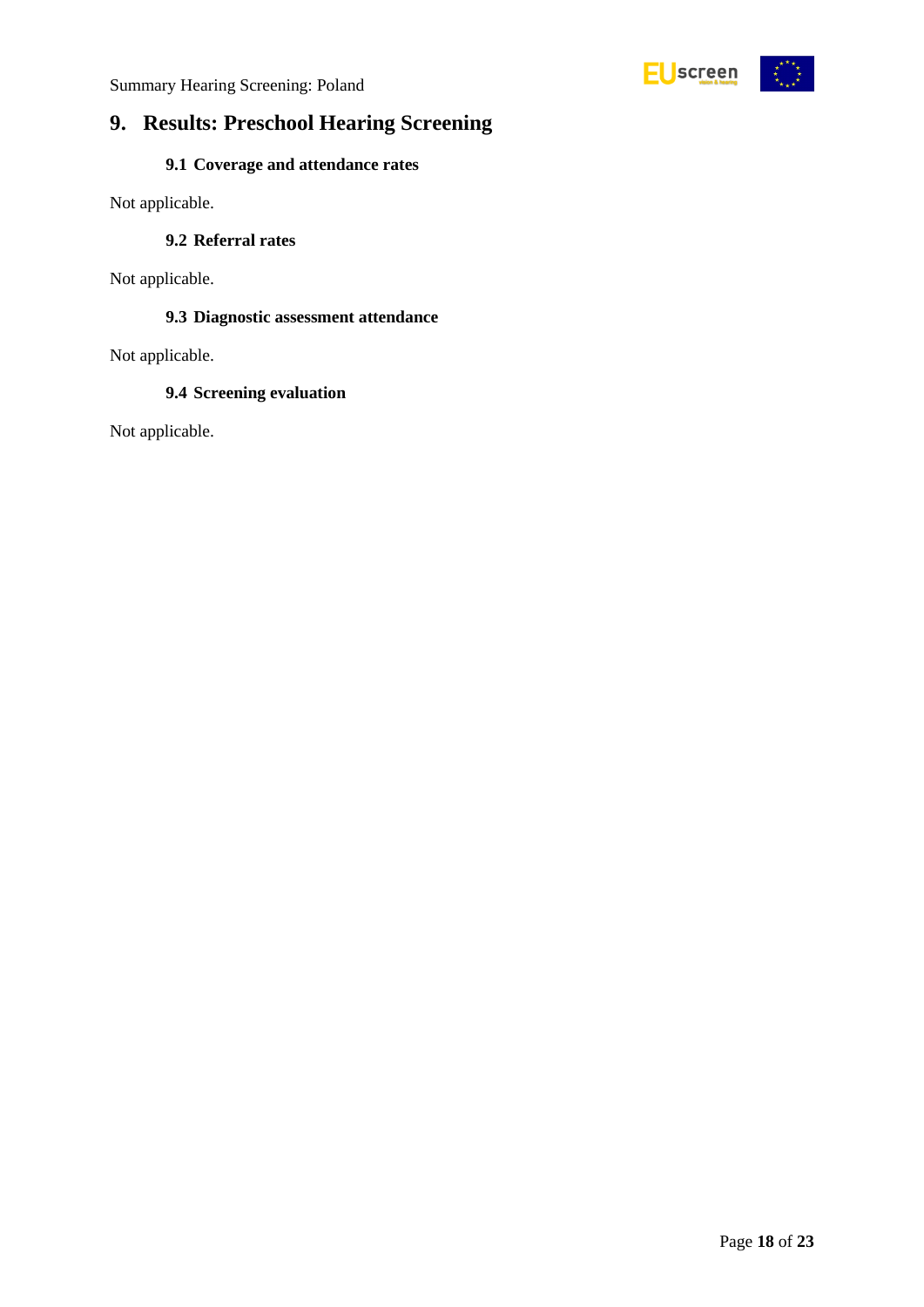



## <span id="page-17-0"></span>**9. Results: Preschool Hearing Screening**

#### **9.1 Coverage and attendance rates**

<span id="page-17-2"></span><span id="page-17-1"></span>Not applicable.

#### **9.2 Referral rates**

<span id="page-17-3"></span>Not applicable.

#### **9.3 Diagnostic assessment attendance**

<span id="page-17-4"></span>Not applicable.

#### **9.4 Screening evaluation**

Not applicable.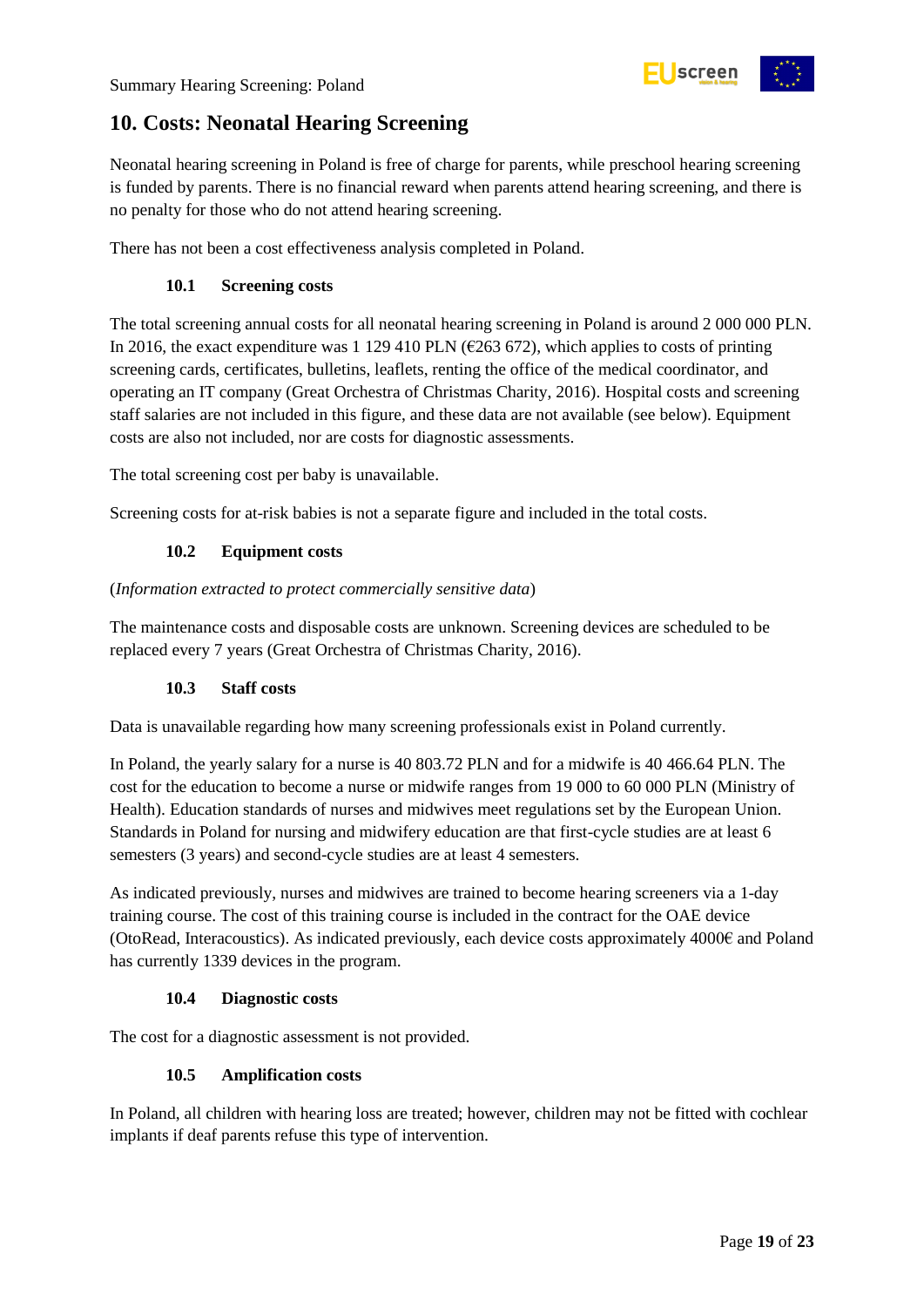

## <span id="page-18-0"></span>**10. Costs: Neonatal Hearing Screening**

Neonatal hearing screening in Poland is free of charge for parents, while preschool hearing screening is funded by parents. There is no financial reward when parents attend hearing screening, and there is no penalty for those who do not attend hearing screening.

<span id="page-18-1"></span>There has not been a cost effectiveness analysis completed in Poland.

#### **10.1 Screening costs**

The total screening annual costs for all neonatal hearing screening in Poland is around 2 000 000 PLN. In 2016, the exact expenditure was 1 129 410 PLN ( $\epsilon$ 263 672), which applies to costs of printing screening cards, certificates, bulletins, leaflets, renting the office of the medical coordinator, and operating an IT company (Great Orchestra of Christmas Charity, 2016). Hospital costs and screening staff salaries are not included in this figure, and these data are not available (see below). Equipment costs are also not included, nor are costs for diagnostic assessments.

The total screening cost per baby is unavailable.

Screening costs for at-risk babies is not a separate figure and included in the total costs.

#### **10.2 Equipment costs**

<span id="page-18-2"></span>(*Information extracted to protect commercially sensitive data*)

The maintenance costs and disposable costs are unknown. Screening devices are scheduled to be replaced every 7 years (Great Orchestra of Christmas Charity, 2016).

#### **10.3 Staff costs**

<span id="page-18-3"></span>Data is unavailable regarding how many screening professionals exist in Poland currently.

In Poland, the yearly salary for a nurse is 40 803.72 PLN and for a midwife is 40 466.64 PLN. The cost for the education to become a nurse or midwife ranges from 19 000 to 60 000 PLN (Ministry of Health). Education standards of nurses and midwives meet regulations set by the European Union. Standards in Poland for nursing and midwifery education are that first-cycle studies are at least 6 semesters (3 years) and second-cycle studies are at least 4 semesters.

As indicated previously, nurses and midwives are trained to become hearing screeners via a 1-day training course. The cost of this training course is included in the contract for the OAE device (OtoRead, Interacoustics). As indicated previously, each device costs approximately 4000€ and Poland has currently 1339 devices in the program.

#### **10.4 Diagnostic costs**

<span id="page-18-5"></span><span id="page-18-4"></span>The cost for a diagnostic assessment is not provided.

#### **10.5 Amplification costs**

In Poland, all children with hearing loss are treated; however, children may not be fitted with cochlear implants if deaf parents refuse this type of intervention.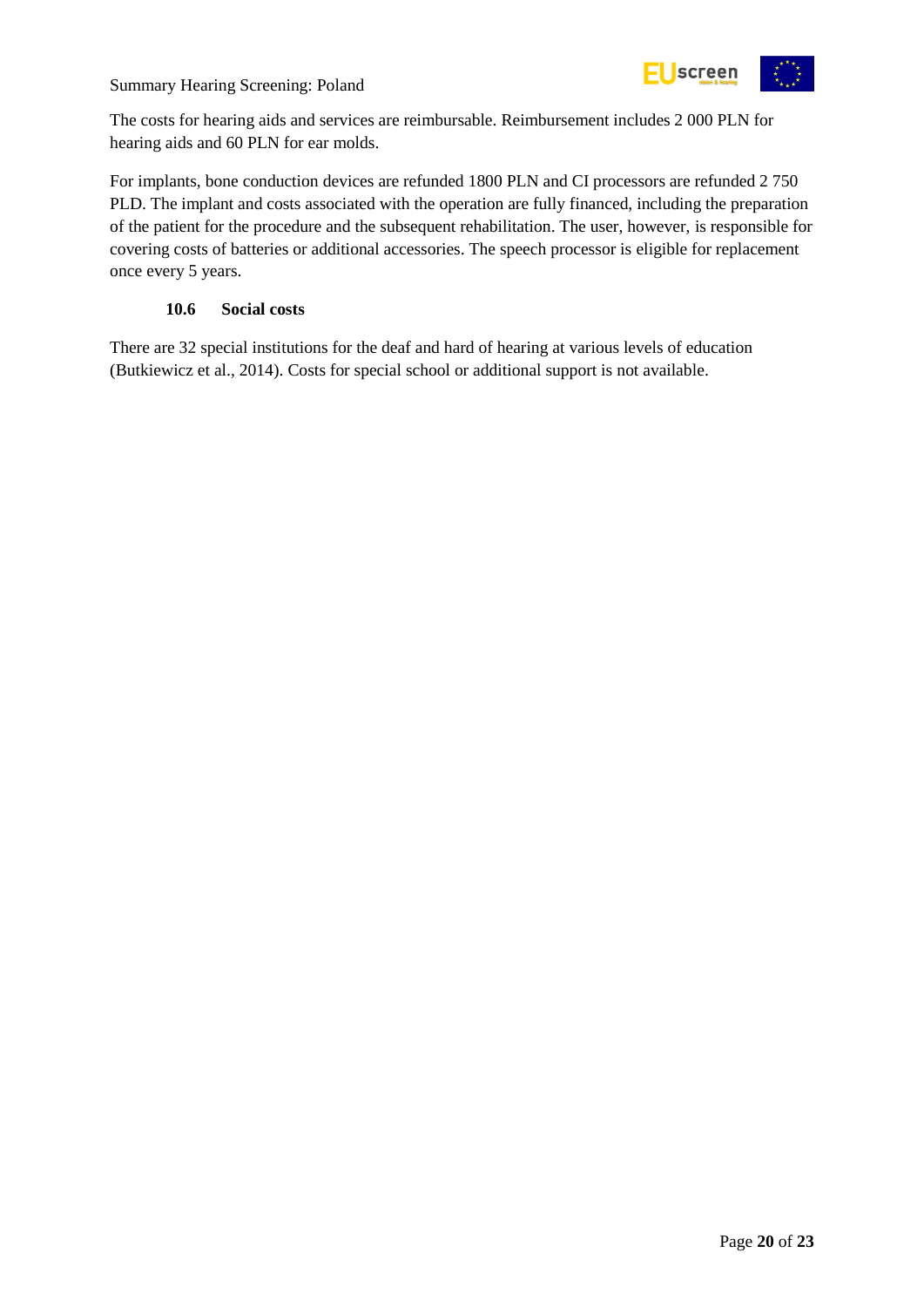

The costs for hearing aids and services are reimbursable. Reimbursement includes 2 000 PLN for hearing aids and 60 PLN for ear molds.

For implants, bone conduction devices are refunded 1800 PLN and CI processors are refunded 2 750 PLD. The implant and costs associated with the operation are fully financed, including the preparation of the patient for the procedure and the subsequent rehabilitation. The user, however, is responsible for covering costs of batteries or additional accessories. The speech processor is eligible for replacement once every 5 years.

#### **10.6 Social costs**

<span id="page-19-0"></span>There are 32 special institutions for the deaf and hard of hearing at various levels of education (Butkiewicz et al., 2014). Costs for special school or additional support is not available.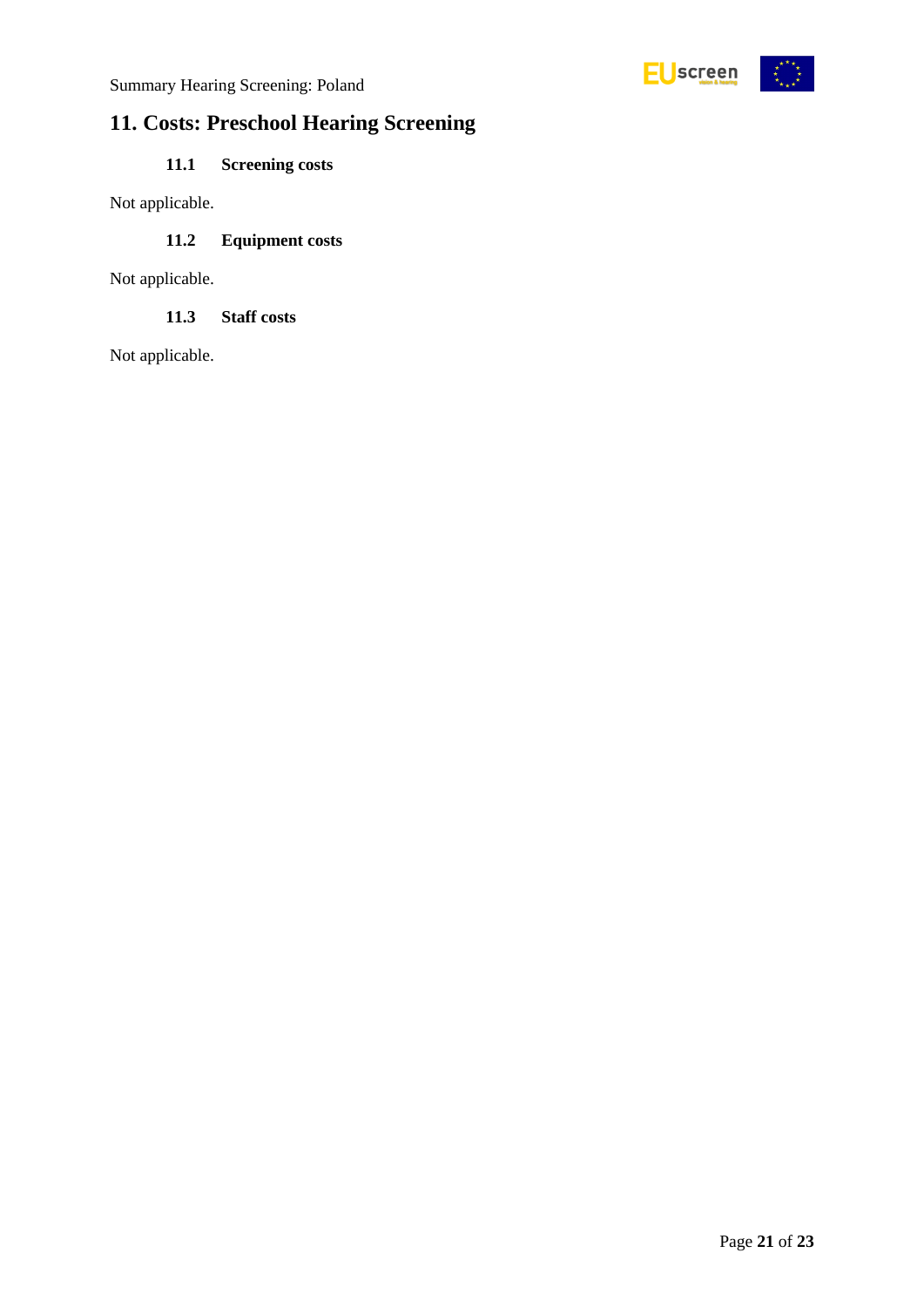

## <span id="page-20-0"></span>**11. Costs: Preschool Hearing Screening**

### **11.1 Screening costs**

<span id="page-20-2"></span><span id="page-20-1"></span>Not applicable.

#### **11.2 Equipment costs**

Not applicable.

#### **11.3 Staff costs**

<span id="page-20-3"></span>Not applicable.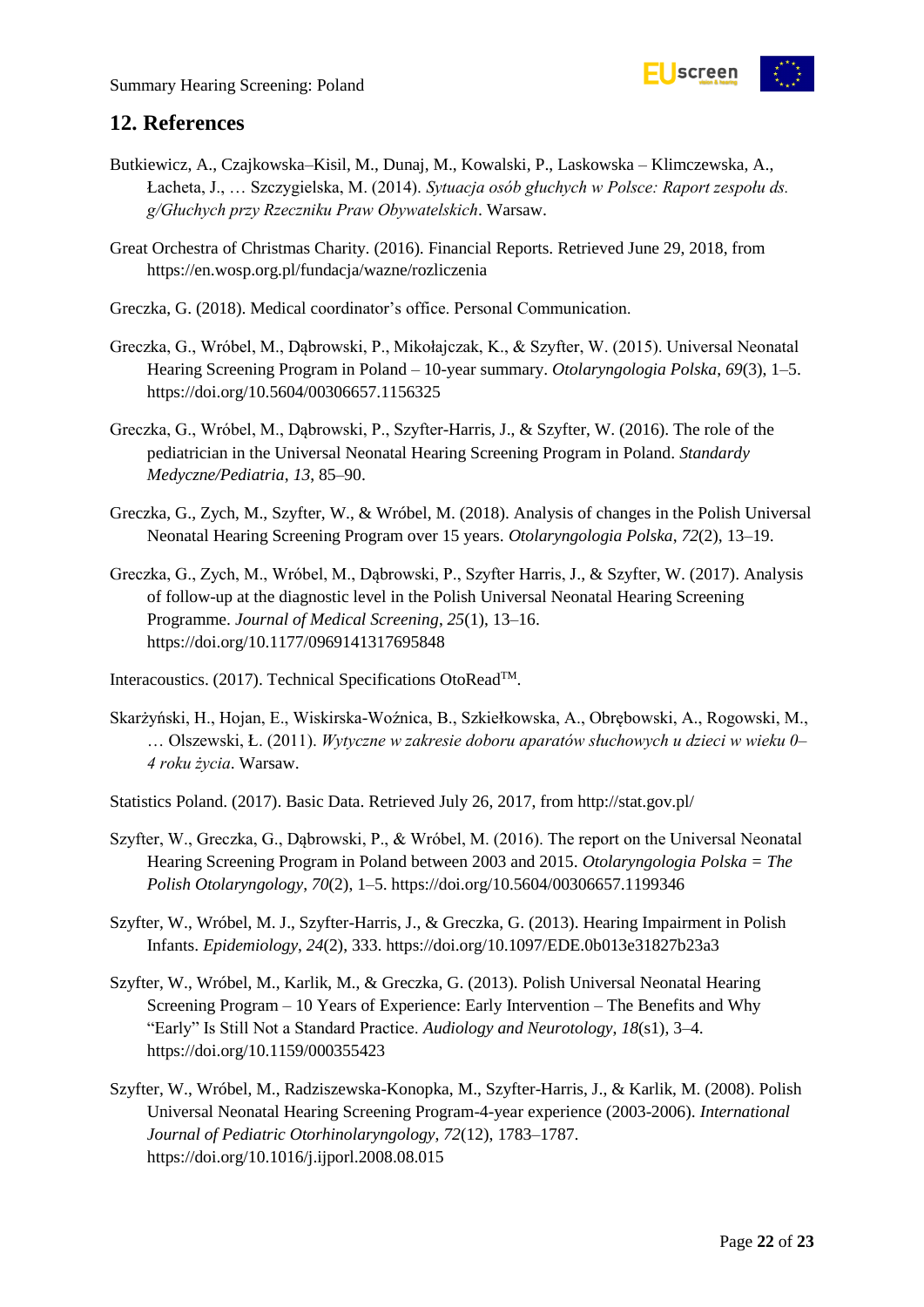

### <span id="page-21-0"></span>**12. References**

- Butkiewicz, A., Czajkowska–Kisil, M., Dunaj, M., Kowalski, P., Laskowska Klimczewska, A., Łacheta, J., … Szczygielska, M. (2014). *Sytuacja osób głuchych w Polsce: Raport zespołu ds. g/Głuchych przy Rzeczniku Praw Obywatelskich*. Warsaw.
- Great Orchestra of Christmas Charity. (2016). Financial Reports. Retrieved June 29, 2018, from https://en.wosp.org.pl/fundacja/wazne/rozliczenia
- Greczka, G. (2018). Medical coordinator's office. Personal Communication.
- Greczka, G., Wróbel, M., Dąbrowski, P., Mikołajczak, K., & Szyfter, W. (2015). Universal Neonatal Hearing Screening Program in Poland – 10-year summary. *Otolaryngologia Polska*, *69*(3), 1–5. https://doi.org/10.5604/00306657.1156325
- Greczka, G., Wróbel, M., Dąbrowski, P., Szyfter-Harris, J., & Szyfter, W. (2016). The role of the pediatrician in the Universal Neonatal Hearing Screening Program in Poland. *Standardy Medyczne/Pediatria*, *13*, 85–90.
- Greczka, G., Zych, M., Szyfter, W., & Wróbel, M. (2018). Analysis of changes in the Polish Universal Neonatal Hearing Screening Program over 15 years. *Otolaryngologia Polska*, *72*(2), 13–19.
- Greczka, G., Zych, M., Wróbel, M., Dąbrowski, P., Szyfter Harris, J., & Szyfter, W. (2017). Analysis of follow-up at the diagnostic level in the Polish Universal Neonatal Hearing Screening Programme. *Journal of Medical Screening*, *25*(1), 13–16. https://doi.org/10.1177/0969141317695848
- Interacoustics. (2017). Technical Specifications OtoReadTM.
- Skarżyński, H., Hojan, E., Wiskirska-Woźnica, B., Szkiełkowska, A., Obrębowski, A., Rogowski, M., … Olszewski, Ł. (2011). *Wytyczne w zakresie doboru aparatów słuchowych u dzieci w wieku 0– 4 roku życia*. Warsaw.
- Statistics Poland. (2017). Basic Data. Retrieved July 26, 2017, from http://stat.gov.pl/
- Szyfter, W., Greczka, G., Dąbrowski, P., & Wróbel, M. (2016). The report on the Universal Neonatal Hearing Screening Program in Poland between 2003 and 2015. *Otolaryngologia Polska = The Polish Otolaryngology*, *70*(2), 1–5. https://doi.org/10.5604/00306657.1199346
- Szyfter, W., Wróbel, M. J., Szyfter-Harris, J., & Greczka, G. (2013). Hearing Impairment in Polish Infants. *Epidemiology*, *24*(2), 333. https://doi.org/10.1097/EDE.0b013e31827b23a3
- Szyfter, W., Wróbel, M., Karlik, M., & Greczka, G. (2013). Polish Universal Neonatal Hearing Screening Program – 10 Years of Experience: Early Intervention – The Benefits and Why "Early" Is Still Not a Standard Practice. *Audiology and Neurotology*, *18*(s1), 3–4. https://doi.org/10.1159/000355423
- Szyfter, W., Wróbel, M., Radziszewska-Konopka, M., Szyfter-Harris, J., & Karlik, M. (2008). Polish Universal Neonatal Hearing Screening Program-4-year experience (2003-2006). *International Journal of Pediatric Otorhinolaryngology*, *72*(12), 1783–1787. https://doi.org/10.1016/j.ijporl.2008.08.015